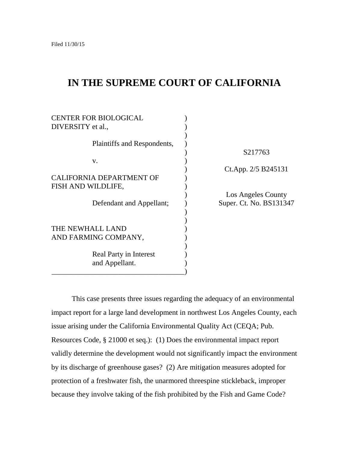# **IN THE SUPREME COURT OF CALIFORNIA**

| <b>CENTER FOR BIOLOGICAL</b>    |                         |
|---------------------------------|-------------------------|
| DIVERSITY et al.,               |                         |
|                                 |                         |
| Plaintiffs and Respondents,     |                         |
|                                 | S217763                 |
| V.                              |                         |
|                                 | Ct.App. 2/5 B245131     |
| <b>CALIFORNIA DEPARTMENT OF</b> |                         |
| FISH AND WILDLIFE,              |                         |
|                                 | Los Angeles County      |
| Defendant and Appellant;        | Super. Ct. No. BS131347 |
|                                 |                         |
|                                 |                         |
| THE NEWHALL LAND                |                         |
| AND FARMING COMPANY,            |                         |
|                                 |                         |
| Real Party in Interest          |                         |
| and Appellant.                  |                         |
|                                 |                         |

This case presents three issues regarding the adequacy of an environmental impact report for a large land development in northwest Los Angeles County, each issue arising under the California Environmental Quality Act (CEQA; Pub. Resources Code, § 21000 et seq.): (1) Does the environmental impact report validly determine the development would not significantly impact the environment by its discharge of greenhouse gases? (2) Are mitigation measures adopted for protection of a freshwater fish, the unarmored threespine stickleback, improper because they involve taking of the fish prohibited by the Fish and Game Code?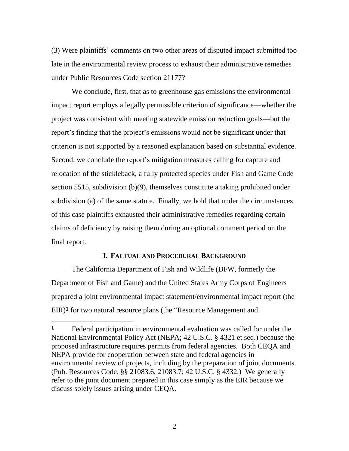(3) Were plaintiffs' comments on two other areas of disputed impact submitted too late in the environmental review process to exhaust their administrative remedies under Public Resources Code section 21177?

We conclude, first, that as to greenhouse gas emissions the environmental impact report employs a legally permissible criterion of significance—whether the project was consistent with meeting statewide emission reduction goals—but the report's finding that the project's emissions would not be significant under that criterion is not supported by a reasoned explanation based on substantial evidence. Second, we conclude the report's mitigation measures calling for capture and relocation of the stickleback, a fully protected species under Fish and Game Code section 5515, subdivision (b)(9), themselves constitute a taking prohibited under subdivision (a) of the same statute. Finally, we hold that under the circumstances of this case plaintiffs exhausted their administrative remedies regarding certain claims of deficiency by raising them during an optional comment period on the final report.

# **I. FACTUAL AND PROCEDURAL BACKGROUND**

The California Department of Fish and Wildlife (DFW, formerly the Department of Fish and Game) and the United States Army Corps of Engineers prepared a joint environmental impact statement/environmental impact report (the EIR)<sup>1</sup> for two natural resource plans (the "Resource Management and

 $\overline{a}$ 

**<sup>1</sup>** Federal participation in environmental evaluation was called for under the National Environmental Policy Act (NEPA; 42 U.S.C. § 4321 et seq.) because the proposed infrastructure requires permits from federal agencies. Both CEQA and NEPA provide for cooperation between state and federal agencies in environmental review of projects, including by the preparation of joint documents. (Pub. Resources Code, §§ 21083.6, 21083.7; 42 U.S.C. § 4332.) We generally refer to the joint document prepared in this case simply as the EIR because we discuss solely issues arising under CEQA.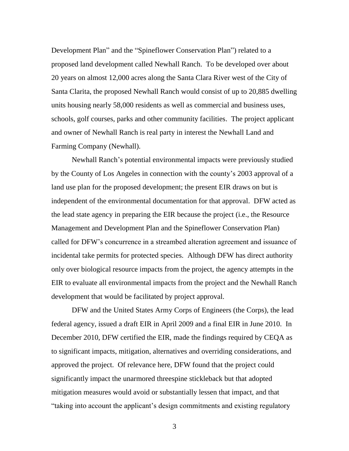Development Plan" and the "Spineflower Conservation Plan") related to a proposed land development called Newhall Ranch. To be developed over about 20 years on almost 12,000 acres along the Santa Clara River west of the City of Santa Clarita, the proposed Newhall Ranch would consist of up to 20,885 dwelling units housing nearly 58,000 residents as well as commercial and business uses, schools, golf courses, parks and other community facilities. The project applicant and owner of Newhall Ranch is real party in interest the Newhall Land and Farming Company (Newhall).

Newhall Ranch's potential environmental impacts were previously studied by the County of Los Angeles in connection with the county's 2003 approval of a land use plan for the proposed development; the present EIR draws on but is independent of the environmental documentation for that approval. DFW acted as the lead state agency in preparing the EIR because the project (i.e., the Resource Management and Development Plan and the Spineflower Conservation Plan) called for DFW's concurrence in a streambed alteration agreement and issuance of incidental take permits for protected species. Although DFW has direct authority only over biological resource impacts from the project, the agency attempts in the EIR to evaluate all environmental impacts from the project and the Newhall Ranch development that would be facilitated by project approval.

DFW and the United States Army Corps of Engineers (the Corps), the lead federal agency, issued a draft EIR in April 2009 and a final EIR in June 2010. In December 2010, DFW certified the EIR, made the findings required by CEQA as to significant impacts, mitigation, alternatives and overriding considerations, and approved the project. Of relevance here, DFW found that the project could significantly impact the unarmored threespine stickleback but that adopted mitigation measures would avoid or substantially lessen that impact, and that ―taking into account the applicant's design commitments and existing regulatory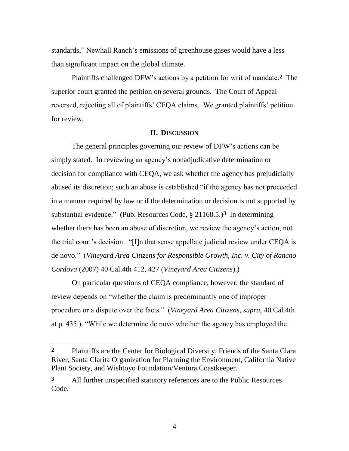standards," Newhall Ranch's emissions of greenhouse gases would have a less than significant impact on the global climate.

Plaintiffs challenged DFW's actions by a petition for writ of mandate.**2** The superior court granted the petition on several grounds. The Court of Appeal reversed, rejecting all of plaintiffs' CEQA claims. We granted plaintiffs' petition for review.

### **II. DISCUSSION**

The general principles governing our review of DFW's actions can be simply stated. In reviewing an agency's nonadjudicative determination or decision for compliance with CEQA, we ask whether the agency has prejudicially abused its discretion; such an abuse is established "if the agency has not proceeded in a manner required by law or if the determination or decision is not supported by substantial evidence." (Pub. Resources Code,  $\S$  21168.5.)<sup>3</sup> In determining whether there has been an abuse of discretion, we review the agency's action, not the trial court's decision. "[I]n that sense appellate judicial review under CEQA is de novo.‖ (*Vineyard Area Citizens for Responsible Growth, Inc. v. City of Rancho Cordova* (2007) 40 Cal.4th 412, 427 (*Vineyard Area Citizens*).)

On particular questions of CEQA compliance, however, the standard of review depends on "whether the claim is predominantly one of improper procedure or a dispute over the facts.‖ (*Vineyard Area Citizens*, *supra*, 40 Cal.4th at p. 435.) "While we determine de novo whether the agency has employed the

 $\overline{a}$ 

**<sup>2</sup>** Plaintiffs are the Center for Biological Diversity, Friends of the Santa Clara River, Santa Clarita Organization for Planning the Environment, California Native Plant Society, and Wishtoyo Foundation/Ventura Coastkeeper.

**<sup>3</sup>** All further unspecified statutory references are to the Public Resources Code.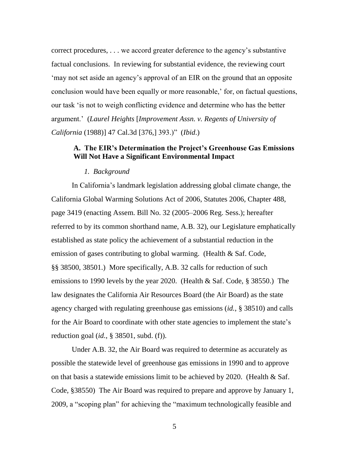correct procedures, . . . we accord greater deference to the agency's substantive factual conclusions. In reviewing for substantial evidence, the reviewing court ‗may not set aside an agency's approval of an EIR on the ground that an opposite conclusion would have been equally or more reasonable,' for, on factual questions, our task ‗is not to weigh conflicting evidence and determine who has the better argument.' (*Laurel Heights* [*Improvement Assn. v. Regents of University of California* (1988)] 47 Cal.3d [376,] 393.)‖ (*Ibid*.)

# **A. The EIR's Determination the Project's Greenhouse Gas Emissions Will Not Have a Significant Environmental Impact**

### *1. Background*

In California's landmark legislation addressing global climate change, the California Global Warming Solutions Act of 2006, Statutes 2006, Chapter 488, page 3419 (enacting Assem. Bill No. 32 (2005–2006 Reg. Sess.); hereafter referred to by its common shorthand name, A.B. 32), our Legislature emphatically established as state policy the achievement of a substantial reduction in the emission of gases contributing to global warming. (Health & Saf. Code, §§ 38500, 38501.) More specifically, A.B. 32 calls for reduction of such emissions to 1990 levels by the year 2020. (Health & Saf. Code, § 38550.) The law designates the California Air Resources Board (the Air Board) as the state agency charged with regulating greenhouse gas emissions (*id.*, § 38510) and calls for the Air Board to coordinate with other state agencies to implement the state's reduction goal (*id.*, § 38501, subd. (f)).

Under A.B. 32, the Air Board was required to determine as accurately as possible the statewide level of greenhouse gas emissions in 1990 and to approve on that basis a statewide emissions limit to be achieved by 2020. (Health & Saf. Code, §38550) The Air Board was required to prepare and approve by January 1, 2009, a "scoping plan" for achieving the "maximum technologically feasible and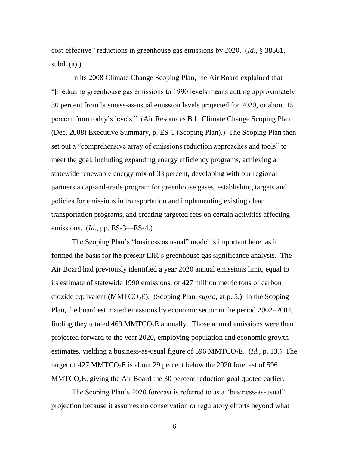cost-effective" reductions in greenhouse gas emissions by 2020. (*Id.*, § 38561, subd.  $(a)$ .)

In its 2008 Climate Change Scoping Plan, the Air Board explained that ―[r]educing greenhouse gas emissions to 1990 levels means cutting approximately 30 percent from business-as-usual emission levels projected for 2020, or about 15 percent from today's levels." (Air Resources Bd., Climate Change Scoping Plan (Dec. 2008) Executive Summary, p. ES-1 (Scoping Plan).) The Scoping Plan then set out a "comprehensive array of emissions reduction approaches and tools" to meet the goal, including expanding energy efficiency programs, achieving a statewide renewable energy mix of 33 percent, developing with our regional partners a cap-and-trade program for greenhouse gases, establishing targets and policies for emissions in transportation and implementing existing clean transportation programs, and creating targeted fees on certain activities affecting emissions. (*Id.*, pp. ES-3—ES-4.)

The Scoping Plan's "business as usual" model is important here, as it formed the basis for the present EIR's greenhouse gas significance analysis. The Air Board had previously identified a year 2020 annual emissions limit, equal to its estimate of statewide 1990 emissions, of 427 million metric tons of carbon dioxide equivalent (MMTCO<sub>2</sub>E). (Scoping Plan, *supra*, at p. 5.) In the Scoping Plan, the board estimated emissions by economic sector in the period 2002–2004, finding they totaled 469 MMTCO<sub>2</sub>E annually. Those annual emissions were then projected forward to the year 2020, employing population and economic growth estimates, yielding a business-as-usual figure of 596 MMTCO<sub>2</sub>E. (*Id.*, p. 13.) The target of 427 MMTCO<sub>2</sub>E is about 29 percent below the 2020 forecast of 596  $MMTCO<sub>2</sub>E$ , giving the Air Board the 30 percent reduction goal quoted earlier.

The Scoping Plan's 2020 forecast is referred to as a "business-as-usual" projection because it assumes no conservation or regulatory efforts beyond what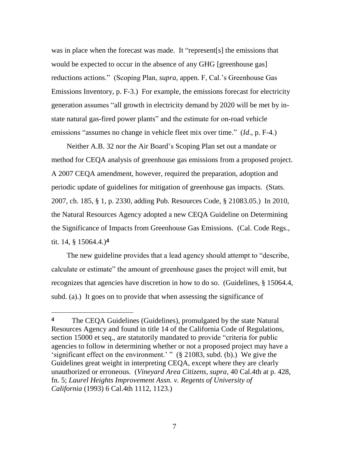was in place when the forecast was made. It "represent[s] the emissions that would be expected to occur in the absence of any GHG [greenhouse gas] reductions actions." (Scoping Plan, *supra*, appen. F, Cal.'s Greenhouse Gas Emissions Inventory, p. F-3.)For example, the emissions forecast for electricity generation assumes "all growth in electricity demand by 2020 will be met by instate natural gas-fired power plants" and the estimate for on-road vehicle emissions "assumes no change in vehicle fleet mix over time." (*Id.*, p. F-4.)

Neither A.B. 32 nor the Air Board's Scoping Plan set out a mandate or method for CEQA analysis of greenhouse gas emissions from a proposed project. A 2007 CEQA amendment, however, required the preparation, adoption and periodic update of guidelines for mitigation of greenhouse gas impacts. (Stats. 2007, ch. 185, § 1, p. 2330, adding Pub. Resources Code, § 21083.05.) In 2010, the Natural Resources Agency adopted a new CEQA Guideline on Determining the Significance of Impacts from Greenhouse Gas Emissions. (Cal. Code Regs., tit. 14, § 15064.4.)**4**

The new guideline provides that a lead agency should attempt to "describe, calculate or estimate" the amount of greenhouse gases the project will emit, but recognizes that agencies have discretion in how to do so. (Guidelines, § 15064.4, subd. (a).) It goes on to provide that when assessing the significance of

 $\overline{a}$ 

**<sup>4</sup>** The CEQA Guidelines (Guidelines), promulgated by the state Natural Resources Agency and found in title 14 of the California Code of Regulations, section 15000 et seq., are statutorily mandated to provide "criteria for public agencies to follow in determining whether or not a proposed project may have a 'significant effect on the environment.' "  $(\S$  21083, subd. (b).) We give the Guidelines great weight in interpreting CEQA, except where they are clearly unauthorized or erroneous. (*Vineyard Area Citizens*, *supra*, 40 Cal.4th at p. 428, fn. 5; *Laurel Heights Improvement Assn. v. Regents of University of California* (1993) 6 Cal.4th 1112, 1123.)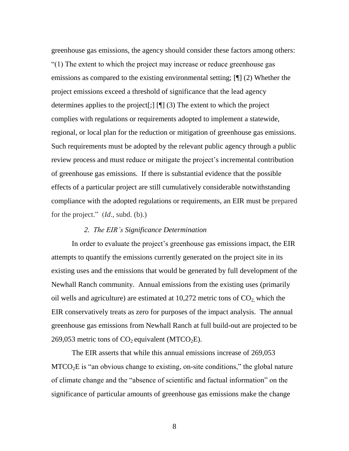greenhouse gas emissions, the agency should consider these factors among others: ―(1) The extent to which the project may increase or reduce greenhouse gas emissions as compared to the existing environmental setting; [¶] (2) Whether the project emissions exceed a threshold of significance that the lead agency determines applies to the project[;] [¶] (3) The extent to which the project complies with regulations or requirements adopted to implement a statewide, regional, or local plan for the reduction or mitigation of greenhouse gas emissions. Such requirements must be adopted by the relevant public agency through a public review process and must reduce or mitigate the project's incremental contribution of greenhouse gas emissions. If there is substantial evidence that the possible effects of a particular project are still cumulatively considerable notwithstanding compliance with the adopted regulations or requirements, an EIR must be prepared for the project." (*Id.*, subd. (b).)

#### *2. The EIR's Significance Determination*

In order to evaluate the project's greenhouse gas emissions impact, the EIR attempts to quantify the emissions currently generated on the project site in its existing uses and the emissions that would be generated by full development of the Newhall Ranch community. Annual emissions from the existing uses (primarily oil wells and agriculture) are estimated at  $10,272$  metric tons of  $CO<sub>2</sub>$  which the EIR conservatively treats as zero for purposes of the impact analysis. The annual greenhouse gas emissions from Newhall Ranch at full build-out are projected to be 269,053 metric tons of  $CO_2$  equivalent (MTCO<sub>2</sub>E).

The EIR asserts that while this annual emissions increase of 269,053  $MTCO<sub>2</sub>E$  is "an obvious change to existing, on-site conditions," the global nature of climate change and the "absence of scientific and factual information" on the significance of particular amounts of greenhouse gas emissions make the change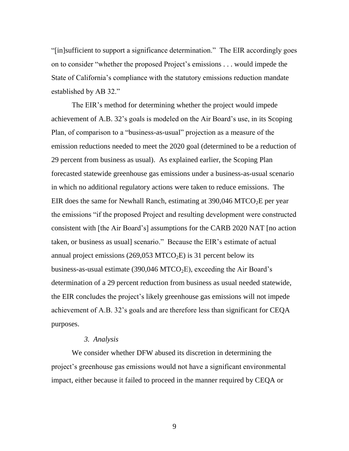―[in]sufficient to support a significance determination.‖ The EIR accordingly goes on to consider "whether the proposed Project's emissions . . . would impede the State of California's compliance with the statutory emissions reduction mandate established by AB 32."

The EIR's method for determining whether the project would impede achievement of A.B. 32's goals is modeled on the Air Board's use, in its Scoping Plan, of comparison to a "business-as-usual" projection as a measure of the emission reductions needed to meet the 2020 goal (determined to be a reduction of 29 percent from business as usual). As explained earlier, the Scoping Plan forecasted statewide greenhouse gas emissions under a business-as-usual scenario in which no additional regulatory actions were taken to reduce emissions. The EIR does the same for Newhall Ranch, estimating at  $390,046$  MTCO<sub>2</sub>E per year the emissions "if the proposed Project and resulting development were constructed consistent with [the Air Board's] assumptions for the CARB 2020 NAT [no action taken, or business as usual] scenario." Because the EIR's estimate of actual annual project emissions (269,053 MTCO<sub>2</sub>E) is 31 percent below its business-as-usual estimate (390,046 MTCO<sub>2</sub>E), exceeding the Air Board's determination of a 29 percent reduction from business as usual needed statewide, the EIR concludes the project's likely greenhouse gas emissions will not impede achievement of A.B. 32's goals and are therefore less than significant for CEQA purposes.

#### *3. Analysis*

We consider whether DFW abused its discretion in determining the project's greenhouse gas emissions would not have a significant environmental impact, either because it failed to proceed in the manner required by CEQA or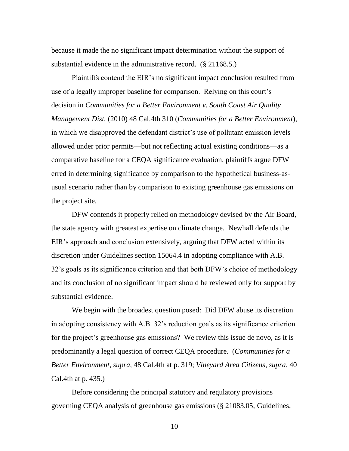because it made the no significant impact determination without the support of substantial evidence in the administrative record. (§ 21168.5.)

Plaintiffs contend the EIR's no significant impact conclusion resulted from use of a legally improper baseline for comparison. Relying on this court's decision in *Communities for a Better Environment v. South Coast Air Quality Management Dist.* (2010) 48 Cal.4th 310 (*Communities for a Better Environment*), in which we disapproved the defendant district's use of pollutant emission levels allowed under prior permits—but not reflecting actual existing conditions—as a comparative baseline for a CEQA significance evaluation, plaintiffs argue DFW erred in determining significance by comparison to the hypothetical business-asusual scenario rather than by comparison to existing greenhouse gas emissions on the project site.

DFW contends it properly relied on methodology devised by the Air Board, the state agency with greatest expertise on climate change. Newhall defends the EIR's approach and conclusion extensively, arguing that DFW acted within its discretion under Guidelines section 15064.4 in adopting compliance with A.B. 32's goals as its significance criterion and that both DFW's choice of methodology and its conclusion of no significant impact should be reviewed only for support by substantial evidence.

We begin with the broadest question posed: Did DFW abuse its discretion in adopting consistency with A.B. 32's reduction goals as its significance criterion for the project's greenhouse gas emissions? We review this issue de novo, as it is predominantly a legal question of correct CEQA procedure. (*Communities for a Better Environment*, *supra*, 48 Cal.4th at p. 319; *Vineyard Area Citizens*, *supra*, 40 Cal.4th at p. 435.)

Before considering the principal statutory and regulatory provisions governing CEQA analysis of greenhouse gas emissions (§ 21083.05; Guidelines,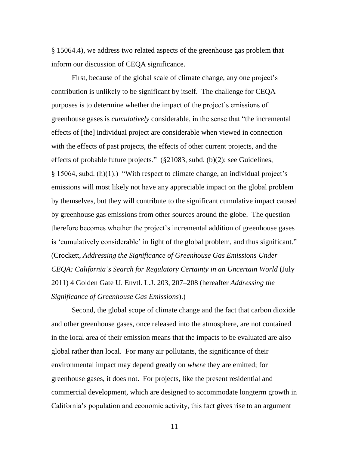§ 15064.4), we address two related aspects of the greenhouse gas problem that inform our discussion of CEQA significance.

First, because of the global scale of climate change, any one project's contribution is unlikely to be significant by itself. The challenge for CEQA purposes is to determine whether the impact of the project's emissions of greenhouse gases is *cumulatively* considerable, in the sense that "the incremental effects of [the] individual project are considerable when viewed in connection with the effects of past projects, the effects of other current projects, and the effects of probable future projects."  $(\S 21083, \text{ subd. (b)}(2))$ ; see Guidelines,  $§$  15064, subd. (h)(1).) "With respect to climate change, an individual project's emissions will most likely not have any appreciable impact on the global problem by themselves, but they will contribute to the significant cumulative impact caused by greenhouse gas emissions from other sources around the globe. The question therefore becomes whether the project's incremental addition of greenhouse gases is 'cumulatively considerable' in light of the global problem, and thus significant." (Crockett, *Addressing the Significance of Greenhouse Gas Emissions Under CEQA: California's Search for Regulatory Certainty in an Uncertain World* (July 2011) 4 Golden Gate U. Envtl. L.J. 203, 207–208 (hereafter *Addressing the Significance of Greenhouse Gas Emissions*).)

Second, the global scope of climate change and the fact that carbon dioxide and other greenhouse gases, once released into the atmosphere, are not contained in the local area of their emission means that the impacts to be evaluated are also global rather than local. For many air pollutants, the significance of their environmental impact may depend greatly on *where* they are emitted; for greenhouse gases, it does not. For projects, like the present residential and commercial development, which are designed to accommodate longterm growth in California's population and economic activity, this fact gives rise to an argument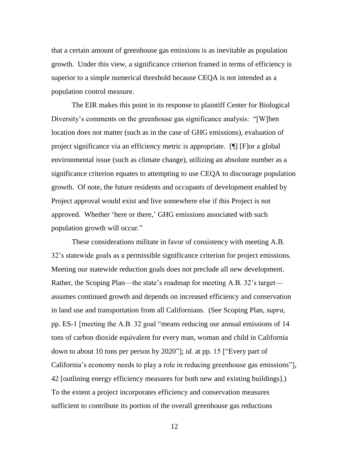that a certain amount of greenhouse gas emissions is as inevitable as population growth. Under this view, a significance criterion framed in terms of efficiency is superior to a simple numerical threshold because CEQA is not intended as a population control measure.

The EIR makes this point in its response to plaintiff Center for Biological Diversity's comments on the greenhouse gas significance analysis: "[W]hen location does not matter (such as in the case of GHG emissions), evaluation of project significance via an efficiency metric is appropriate. [¶] [F]or a global environmental issue (such as climate change), utilizing an absolute number as a significance criterion equates to attempting to use CEQA to discourage population growth. Of note, the future residents and occupants of development enabled by Project approval would exist and live somewhere else if this Project is not approved. Whether 'here or there,' GHG emissions associated with such population growth will occur."

These considerations militate in favor of consistency with meeting A.B. 32's statewide goals as a permissible significance criterion for project emissions. Meeting our statewide reduction goals does not preclude all new development. Rather, the Scoping Plan—the state's roadmap for meeting A.B. 32's target assumes continued growth and depends on increased efficiency and conservation in land use and transportation from all Californians. (See Scoping Plan, *supra*, pp. ES-1 [meeting the A.B. 32 goal "means reducing our annual emissions of 14 tons of carbon dioxide equivalent for every man, woman and child in California down to about 10 tons per person by 2020"]; *id.* at pp. 15 ["Every part of California's economy needs to play a role in reducing greenhouse gas emissions"], 42 [outlining energy efficiency measures for both new and existing buildings].) To the extent a project incorporates efficiency and conservation measures sufficient to contribute its portion of the overall greenhouse gas reductions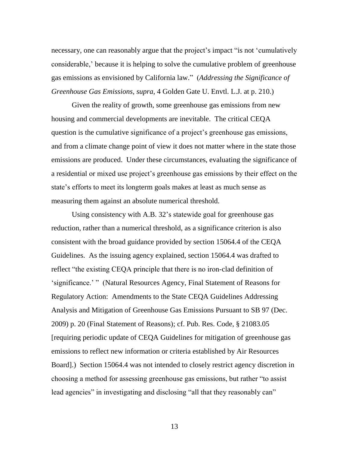necessary, one can reasonably argue that the project's impact "is not 'cumulatively considerable,' because it is helping to solve the cumulative problem of greenhouse gas emissions as envisioned by California law.‖ (*Addressing the Significance of Greenhouse Gas Emissions*, *supra*, 4 Golden Gate U. Envtl. L.J. at p. 210.)

Given the reality of growth, some greenhouse gas emissions from new housing and commercial developments are inevitable. The critical CEQA question is the cumulative significance of a project's greenhouse gas emissions, and from a climate change point of view it does not matter where in the state those emissions are produced. Under these circumstances, evaluating the significance of a residential or mixed use project's greenhouse gas emissions by their effect on the state's efforts to meet its longterm goals makes at least as much sense as measuring them against an absolute numerical threshold.

Using consistency with A.B. 32's statewide goal for greenhouse gas reduction, rather than a numerical threshold, as a significance criterion is also consistent with the broad guidance provided by section 15064.4 of the CEQA Guidelines. As the issuing agency explained, section 15064.4 was drafted to reflect "the existing CEQA principle that there is no iron-clad definition of 'significance.' " (Natural Resources Agency, Final Statement of Reasons for Regulatory Action: Amendments to the State CEQA Guidelines Addressing Analysis and Mitigation of Greenhouse Gas Emissions Pursuant to SB 97 (Dec. 2009) p. 20 (Final Statement of Reasons); cf. Pub. Res. Code, § 21083.05 [requiring periodic update of CEQA Guidelines for mitigation of greenhouse gas emissions to reflect new information or criteria established by Air Resources Board].) Section 15064.4 was not intended to closely restrict agency discretion in choosing a method for assessing greenhouse gas emissions, but rather "to assist lead agencies" in investigating and disclosing "all that they reasonably can"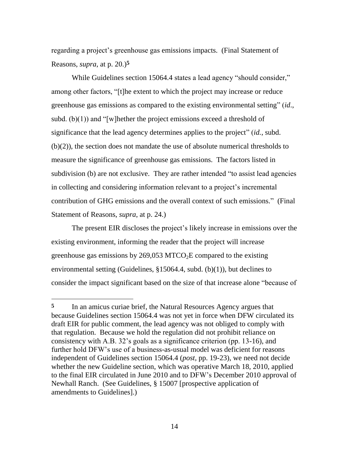regarding a project's greenhouse gas emissions impacts. (Final Statement of Reasons, *supra*, at p. 20.)**5**

While Guidelines section 15064.4 states a lead agency "should consider," among other factors, "[t]he extent to which the project may increase or reduce greenhouse gas emissions as compared to the existing environmental setting" (*id.*, subd. (b) $(1)$ ) and "[w]hether the project emissions exceed a threshold of significance that the lead agency determines applies to the project" (*id.*, subd. (b)(2)), the section does not mandate the use of absolute numerical thresholds to measure the significance of greenhouse gas emissions. The factors listed in subdivision (b) are not exclusive. They are rather intended "to assist lead agencies in collecting and considering information relevant to a project's incremental contribution of GHG emissions and the overall context of such emissions." (Final Statement of Reasons, *supra*, at p. 24.)

The present EIR discloses the project's likely increase in emissions over the existing environment, informing the reader that the project will increase greenhouse gas emissions by 269,053 MTCO<sub>2</sub>E compared to the existing environmental setting (Guidelines, §15064.4, subd. (b)(1)), but declines to consider the impact significant based on the size of that increase alone "because of

 $\overline{a}$ 

**<sup>5</sup>** In an amicus curiae brief, the Natural Resources Agency argues that because Guidelines section 15064.4 was not yet in force when DFW circulated its draft EIR for public comment, the lead agency was not obliged to comply with that regulation. Because we hold the regulation did not prohibit reliance on consistency with A.B. 32's goals as a significance criterion (pp. 13-16), and further hold DFW's use of a business-as-usual model was deficient for reasons independent of Guidelines section 15064.4 (*post,* pp. 19-23), we need not decide whether the new Guideline section, which was operative March 18, 2010, applied to the final EIR circulated in June 2010 and to DFW's December 2010 approval of Newhall Ranch. (See Guidelines, § 15007 [prospective application of amendments to Guidelines].)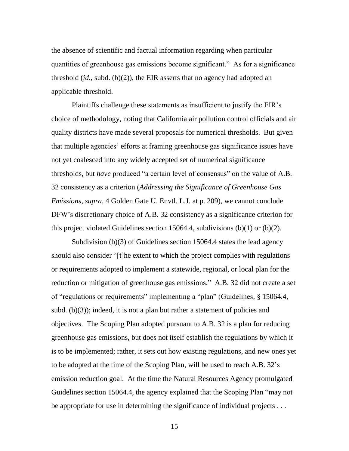the absence of scientific and factual information regarding when particular quantities of greenhouse gas emissions become significant." As for a significance threshold (*id.*, subd. (b)(2)), the EIR asserts that no agency had adopted an applicable threshold.

Plaintiffs challenge these statements as insufficient to justify the EIR's choice of methodology, noting that California air pollution control officials and air quality districts have made several proposals for numerical thresholds. But given that multiple agencies' efforts at framing greenhouse gas significance issues have not yet coalesced into any widely accepted set of numerical significance thresholds, but *have* produced "a certain level of consensus" on the value of A.B. 32 consistency as a criterion (*Addressing the Significance of Greenhouse Gas Emissions*, *supra*, 4 Golden Gate U. Envtl. L.J. at p. 209), we cannot conclude DFW's discretionary choice of A.B. 32 consistency as a significance criterion for this project violated Guidelines section 15064.4, subdivisions  $(b)(1)$  or  $(b)(2)$ .

Subdivision (b)(3) of Guidelines section 15064.4 states the lead agency should also consider "[t]he extent to which the project complies with regulations or requirements adopted to implement a statewide, regional, or local plan for the reduction or mitigation of greenhouse gas emissions." A.B. 32 did not create a set of "regulations or requirements" implementing a "plan" (Guidelines, § 15064.4, subd.  $(b)(3)$ ; indeed, it is not a plan but rather a statement of policies and objectives. The Scoping Plan adopted pursuant to A.B. 32 is a plan for reducing greenhouse gas emissions, but does not itself establish the regulations by which it is to be implemented; rather, it sets out how existing regulations, and new ones yet to be adopted at the time of the Scoping Plan, will be used to reach A.B. 32's emission reduction goal. At the time the Natural Resources Agency promulgated Guidelines section 15064.4, the agency explained that the Scoping Plan "may not be appropriate for use in determining the significance of individual projects . . .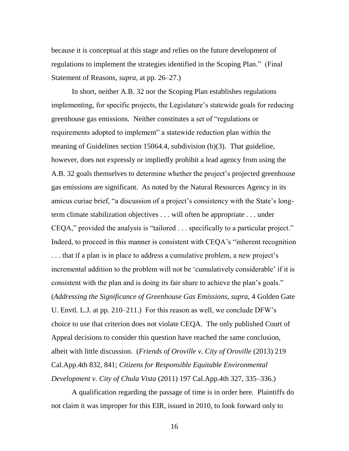because it is conceptual at this stage and relies on the future development of regulations to implement the strategies identified in the Scoping Plan." (Final Statement of Reasons, *supra*, at pp. 26–27.)

In short, neither A.B. 32 nor the Scoping Plan establishes regulations implementing, for specific projects, the Legislature's statewide goals for reducing greenhouse gas emissions. Neither constitutes a set of "regulations or requirements adopted to implement" a statewide reduction plan within the meaning of Guidelines section 15064.4, subdivision (b)(3). That guideline, however, does not expressly or impliedly prohibit a lead agency from using the A.B. 32 goals themselves to determine whether the project's projected greenhouse gas emissions are significant. As noted by the Natural Resources Agency in its amicus curiae brief, "a discussion of a project's consistency with the State's longterm climate stabilization objectives . . . will often be appropriate . . . under  $CEQA$ ," provided the analysis is "tailored  $\ldots$  specifically to a particular project." Indeed, to proceed in this manner is consistent with CEQA's "inherent recognition . . . that if a plan is in place to address a cumulative problem, a new project's incremental addition to the problem will not be 'cumulatively considerable' if it is consistent with the plan and is doing its fair share to achieve the plan's goals." (*Addressing the Significance of Greenhouse Gas Emissions*, *supra*, 4 Golden Gate U. Envtl. L.J. at pp. 210–211.) For this reason as well, we conclude DFW's choice to use that criterion does not violate CEQA. The only published Court of Appeal decisions to consider this question have reached the same conclusion, albeit with little discussion. (*Friends of Oroville v. City of Oroville* (2013) 219 Cal.App.4th 832, 841; *Citizens for Responsible Equitable Environmental Development v. City of Chula Vista* (2011) 197 Cal.App.4th 327, 335–336.)

A qualification regarding the passage of time is in order here. Plaintiffs do not claim it was improper for this EIR, issued in 2010, to look forward only to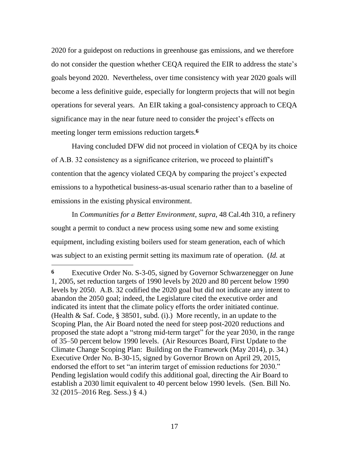2020 for a guidepost on reductions in greenhouse gas emissions, and we therefore do not consider the question whether CEQA required the EIR to address the state's goals beyond 2020. Nevertheless, over time consistency with year 2020 goals will become a less definitive guide, especially for longterm projects that will not begin operations for several years. An EIR taking a goal-consistency approach to CEQA significance may in the near future need to consider the project's effects on meeting longer term emissions reduction targets. **6**

Having concluded DFW did not proceed in violation of CEQA by its choice of A.B. 32 consistency as a significance criterion, we proceed to plaintiff's contention that the agency violated CEQA by comparing the project's expected emissions to a hypothetical business-as-usual scenario rather than to a baseline of emissions in the existing physical environment.

In *Communities for a Better Environment*, *supra*, 48 Cal.4th 310, a refinery sought a permit to conduct a new process using some new and some existing equipment, including existing boilers used for steam generation, each of which was subject to an existing permit setting its maximum rate of operation. (*Id.* at

 $\overline{a}$ 

**<sup>6</sup>** Executive Order No. S-3-05, signed by Governor Schwarzenegger on June 1, 2005, set reduction targets of 1990 levels by 2020 and 80 percent below 1990 levels by 2050. A.B. 32 codified the 2020 goal but did not indicate any intent to abandon the 2050 goal; indeed, the Legislature cited the executive order and indicated its intent that the climate policy efforts the order initiated continue. (Health & Saf. Code, § 38501, subd. (i).) More recently, in an update to the Scoping Plan, the Air Board noted the need for steep post-2020 reductions and proposed the state adopt a "strong mid-term target" for the year 2030, in the range of 35–50 percent below 1990 levels. (Air Resources Board, First Update to the Climate Change Scoping Plan: Building on the Framework (May 2014), p. 34.) Executive Order No. B-30-15, signed by Governor Brown on April 29, 2015, endorsed the effort to set "an interim target of emission reductions for 2030." Pending legislation would codify this additional goal, directing the Air Board to establish a 2030 limit equivalent to 40 percent below 1990 levels. (Sen. Bill No. 32 (2015–2016 Reg. Sess.) § 4.)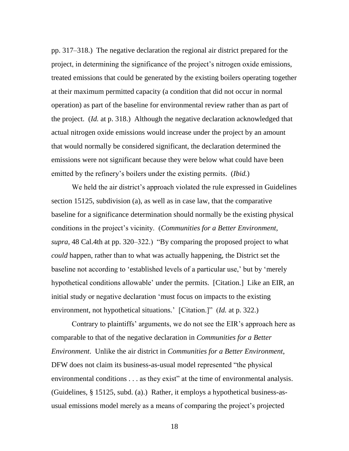pp. 317–318.) The negative declaration the regional air district prepared for the project, in determining the significance of the project's nitrogen oxide emissions, treated emissions that could be generated by the existing boilers operating together at their maximum permitted capacity (a condition that did not occur in normal operation) as part of the baseline for environmental review rather than as part of the project. (*Id.* at p. 318.) Although the negative declaration acknowledged that actual nitrogen oxide emissions would increase under the project by an amount that would normally be considered significant, the declaration determined the emissions were not significant because they were below what could have been emitted by the refinery's boilers under the existing permits. (*Ibid.*)

We held the air district's approach violated the rule expressed in Guidelines section 15125, subdivision (a), as well as in case law, that the comparative baseline for a significance determination should normally be the existing physical conditions in the project's vicinity. (*Communities for a Better Environment*, *supra*, 48 Cal.4th at pp. 320–322.) "By comparing the proposed project to what *could* happen, rather than to what was actually happening, the District set the baseline not according to 'established levels of a particular use,' but by 'merely hypothetical conditions allowable' under the permits. [Citation.] Like an EIR, an initial study or negative declaration 'must focus on impacts to the existing environment, not hypothetical situations.' [Citation.]" (*Id.* at p. 322.)

Contrary to plaintiffs' arguments, we do not see the EIR's approach here as comparable to that of the negative declaration in *Communities for a Better Environment*. Unlike the air district in *Communities for a Better Environment*, DFW does not claim its business-as-usual model represented "the physical environmental conditions  $\dots$  as they exist" at the time of environmental analysis. (Guidelines, § 15125, subd. (a).) Rather, it employs a hypothetical business-asusual emissions model merely as a means of comparing the project's projected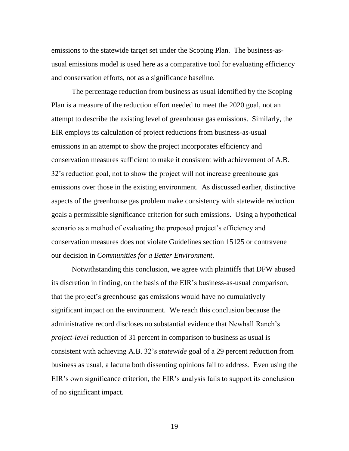emissions to the statewide target set under the Scoping Plan. The business-asusual emissions model is used here as a comparative tool for evaluating efficiency and conservation efforts, not as a significance baseline.

The percentage reduction from business as usual identified by the Scoping Plan is a measure of the reduction effort needed to meet the 2020 goal, not an attempt to describe the existing level of greenhouse gas emissions. Similarly, the EIR employs its calculation of project reductions from business-as-usual emissions in an attempt to show the project incorporates efficiency and conservation measures sufficient to make it consistent with achievement of A.B. 32's reduction goal, not to show the project will not increase greenhouse gas emissions over those in the existing environment. As discussed earlier, distinctive aspects of the greenhouse gas problem make consistency with statewide reduction goals a permissible significance criterion for such emissions. Using a hypothetical scenario as a method of evaluating the proposed project's efficiency and conservation measures does not violate Guidelines section 15125 or contravene our decision in *Communities for a Better Environment*.

Notwithstanding this conclusion, we agree with plaintiffs that DFW abused its discretion in finding, on the basis of the EIR's business-as-usual comparison, that the project's greenhouse gas emissions would have no cumulatively significant impact on the environment. We reach this conclusion because the administrative record discloses no substantial evidence that Newhall Ranch's *project-level* reduction of 31 percent in comparison to business as usual is consistent with achieving A.B. 32's *statewide* goal of a 29 percent reduction from business as usual, a lacuna both dissenting opinions fail to address. Even using the EIR's own significance criterion, the EIR's analysis fails to support its conclusion of no significant impact.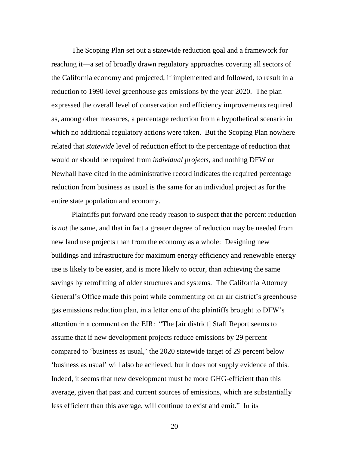The Scoping Plan set out a statewide reduction goal and a framework for reaching it—a set of broadly drawn regulatory approaches covering all sectors of the California economy and projected, if implemented and followed, to result in a reduction to 1990-level greenhouse gas emissions by the year 2020. The plan expressed the overall level of conservation and efficiency improvements required as, among other measures, a percentage reduction from a hypothetical scenario in which no additional regulatory actions were taken. But the Scoping Plan nowhere related that *statewide* level of reduction effort to the percentage of reduction that would or should be required from *individual projects*, and nothing DFW or Newhall have cited in the administrative record indicates the required percentage reduction from business as usual is the same for an individual project as for the entire state population and economy.

Plaintiffs put forward one ready reason to suspect that the percent reduction is *not* the same, and that in fact a greater degree of reduction may be needed from new land use projects than from the economy as a whole: Designing new buildings and infrastructure for maximum energy efficiency and renewable energy use is likely to be easier, and is more likely to occur, than achieving the same savings by retrofitting of older structures and systems. The California Attorney General's Office made this point while commenting on an air district's greenhouse gas emissions reduction plan, in a letter one of the plaintiffs brought to DFW's attention in a comment on the EIR: "The [air district] Staff Report seems to assume that if new development projects reduce emissions by 29 percent compared to 'business as usual,' the 2020 statewide target of 29 percent below ‗business as usual' will also be achieved, but it does not supply evidence of this. Indeed, it seems that new development must be more GHG-efficient than this average, given that past and current sources of emissions, which are substantially less efficient than this average, will continue to exist and emit." In its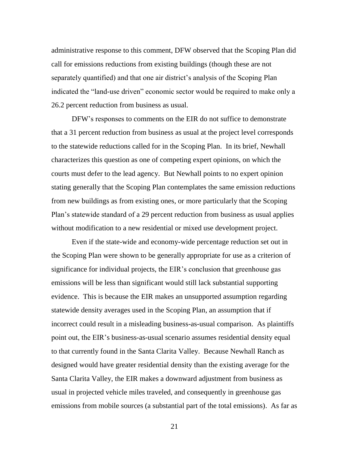administrative response to this comment, DFW observed that the Scoping Plan did call for emissions reductions from existing buildings (though these are not separately quantified) and that one air district's analysis of the Scoping Plan indicated the "land-use driven" economic sector would be required to make only a 26.2 percent reduction from business as usual.

DFW's responses to comments on the EIR do not suffice to demonstrate that a 31 percent reduction from business as usual at the project level corresponds to the statewide reductions called for in the Scoping Plan. In its brief, Newhall characterizes this question as one of competing expert opinions, on which the courts must defer to the lead agency. But Newhall points to no expert opinion stating generally that the Scoping Plan contemplates the same emission reductions from new buildings as from existing ones, or more particularly that the Scoping Plan's statewide standard of a 29 percent reduction from business as usual applies without modification to a new residential or mixed use development project.

Even if the state-wide and economy-wide percentage reduction set out in the Scoping Plan were shown to be generally appropriate for use as a criterion of significance for individual projects, the EIR's conclusion that greenhouse gas emissions will be less than significant would still lack substantial supporting evidence. This is because the EIR makes an unsupported assumption regarding statewide density averages used in the Scoping Plan, an assumption that if incorrect could result in a misleading business-as-usual comparison. As plaintiffs point out, the EIR's business-as-usual scenario assumes residential density equal to that currently found in the Santa Clarita Valley. Because Newhall Ranch as designed would have greater residential density than the existing average for the Santa Clarita Valley, the EIR makes a downward adjustment from business as usual in projected vehicle miles traveled, and consequently in greenhouse gas emissions from mobile sources (a substantial part of the total emissions). As far as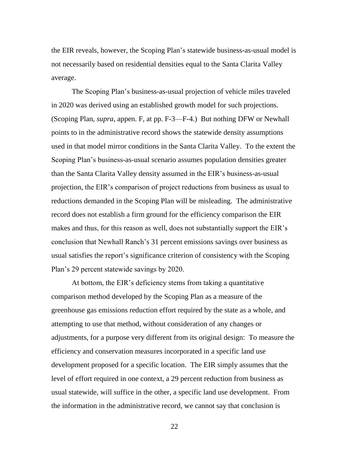the EIR reveals, however, the Scoping Plan's statewide business-as-usual model is not necessarily based on residential densities equal to the Santa Clarita Valley average.

The Scoping Plan's business-as-usual projection of vehicle miles traveled in 2020 was derived using an established growth model for such projections. (Scoping Plan, *supra*, appen. F, at pp. F-3—F-4.) But nothing DFW or Newhall points to in the administrative record shows the statewide density assumptions used in that model mirror conditions in the Santa Clarita Valley. To the extent the Scoping Plan's business-as-usual scenario assumes population densities greater than the Santa Clarita Valley density assumed in the EIR's business-as-usual projection, the EIR's comparison of project reductions from business as usual to reductions demanded in the Scoping Plan will be misleading. The administrative record does not establish a firm ground for the efficiency comparison the EIR makes and thus, for this reason as well, does not substantially support the EIR's conclusion that Newhall Ranch's 31 percent emissions savings over business as usual satisfies the report's significance criterion of consistency with the Scoping Plan's 29 percent statewide savings by 2020.

At bottom, the EIR's deficiency stems from taking a quantitative comparison method developed by the Scoping Plan as a measure of the greenhouse gas emissions reduction effort required by the state as a whole, and attempting to use that method, without consideration of any changes or adjustments, for a purpose very different from its original design: To measure the efficiency and conservation measures incorporated in a specific land use development proposed for a specific location. The EIR simply assumes that the level of effort required in one context, a 29 percent reduction from business as usual statewide, will suffice in the other, a specific land use development. From the information in the administrative record, we cannot say that conclusion is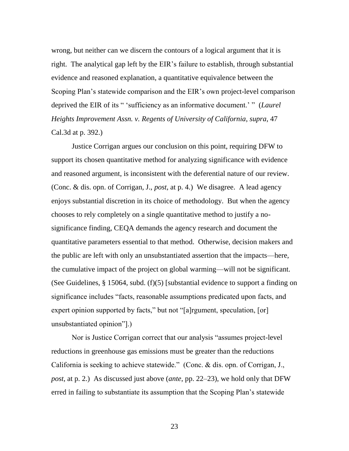wrong, but neither can we discern the contours of a logical argument that it is right. The analytical gap left by the EIR's failure to establish, through substantial evidence and reasoned explanation, a quantitative equivalence between the Scoping Plan's statewide comparison and the EIR's own project-level comparison deprived the EIR of its " 'sufficiency as an informative document.' " (*Laurel Heights Improvement Assn. v. Regents of University of California*, *supra*, 47 Cal.3d at p. 392.)

Justice Corrigan argues our conclusion on this point, requiring DFW to support its chosen quantitative method for analyzing significance with evidence and reasoned argument, is inconsistent with the deferential nature of our review. (Conc. & dis. opn. of Corrigan, J., *post*, at p. 4.) We disagree. A lead agency enjoys substantial discretion in its choice of methodology. But when the agency chooses to rely completely on a single quantitative method to justify a nosignificance finding, CEQA demands the agency research and document the quantitative parameters essential to that method. Otherwise, decision makers and the public are left with only an unsubstantiated assertion that the impacts—here, the cumulative impact of the project on global warming—will not be significant. (See Guidelines*,* § 15064, subd. (f)(5) [substantial evidence to support a finding on significance includes "facts, reasonable assumptions predicated upon facts, and expert opinion supported by facts," but not "[a]rgument, speculation, [or] unsubstantiated opinion".)

Nor is Justice Corrigan correct that our analysis "assumes project-level" reductions in greenhouse gas emissions must be greater than the reductions California is seeking to achieve statewide." (Conc.  $&$  dis. opn. of Corrigan, J., *post*, at p. 2.) As discussed just above (*ante*, pp. 22–23), we hold only that DFW erred in failing to substantiate its assumption that the Scoping Plan's statewide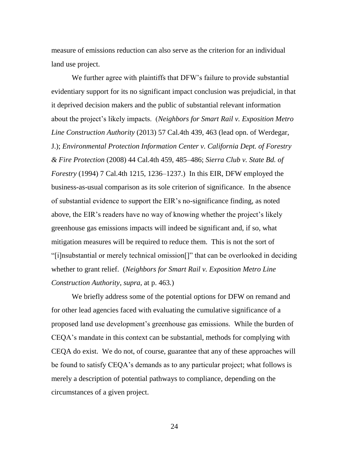measure of emissions reduction can also serve as the criterion for an individual land use project.

We further agree with plaintiffs that DFW's failure to provide substantial evidentiary support for its no significant impact conclusion was prejudicial, in that it deprived decision makers and the public of substantial relevant information about the project's likely impacts. (*Neighbors for Smart Rail v. Exposition Metro Line Construction Authority* (2013) 57 Cal.4th 439, 463 (lead opn. of Werdegar, J.); *Environmental Protection Information Center v. California Dept. of Forestry & Fire Protection* (2008) 44 Cal.4th 459, 485–486; *Sierra Club v. State Bd. of Forestry* (1994) 7 Cal.4th 1215, 1236–1237.) In this EIR, DFW employed the business-as-usual comparison as its sole criterion of significance. In the absence of substantial evidence to support the EIR's no-significance finding, as noted above, the EIR's readers have no way of knowing whether the project's likely greenhouse gas emissions impacts will indeed be significant and, if so, what mitigation measures will be required to reduce them. This is not the sort of ―[i]nsubstantial or merely technical omission[]‖ that can be overlooked in deciding whether to grant relief. (*Neighbors for Smart Rail v. Exposition Metro Line Construction Authority*, *supra*, at p. 463*.*)

We briefly address some of the potential options for DFW on remand and for other lead agencies faced with evaluating the cumulative significance of a proposed land use development's greenhouse gas emissions. While the burden of CEQA's mandate in this context can be substantial, methods for complying with CEQA do exist. We do not, of course, guarantee that any of these approaches will be found to satisfy CEQA's demands as to any particular project; what follows is merely a description of potential pathways to compliance, depending on the circumstances of a given project.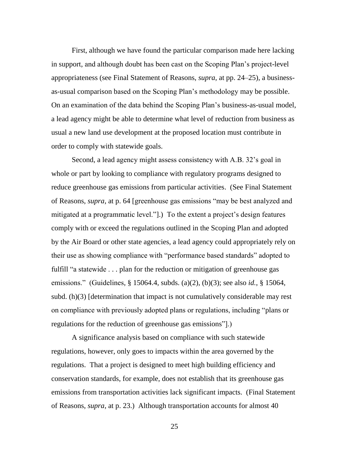First, although we have found the particular comparison made here lacking in support, and although doubt has been cast on the Scoping Plan's project-level appropriateness (see Final Statement of Reasons, *supra*, at pp. 24–25), a businessas-usual comparison based on the Scoping Plan's methodology may be possible. On an examination of the data behind the Scoping Plan's business-as-usual model, a lead agency might be able to determine what level of reduction from business as usual a new land use development at the proposed location must contribute in order to comply with statewide goals.

Second, a lead agency might assess consistency with A.B. 32's goal in whole or part by looking to compliance with regulatory programs designed to reduce greenhouse gas emissions from particular activities. (See Final Statement of Reasons, *supra*, at p. 64 [greenhouse gas emissions "may be best analyzed and mitigated at a programmatic level."...) To the extent a project's design features comply with or exceed the regulations outlined in the Scoping Plan and adopted by the Air Board or other state agencies, a lead agency could appropriately rely on their use as showing compliance with "performance based standards" adopted to fulfill "a statewide . . . plan for the reduction or mitigation of greenhouse gas emissions.‖ (Guidelines, § 15064.4, subds. (a)(2), (b)(3); see also *id.*, § 15064, subd. (h)(3) [determination that impact is not cumulatively considerable may rest on compliance with previously adopted plans or regulations, including "plans or regulations for the reduction of greenhouse gas emissions".)

A significance analysis based on compliance with such statewide regulations, however, only goes to impacts within the area governed by the regulations. That a project is designed to meet high building efficiency and conservation standards, for example, does not establish that its greenhouse gas emissions from transportation activities lack significant impacts. (Final Statement of Reasons, *supra*, at p. 23.) Although transportation accounts for almost 40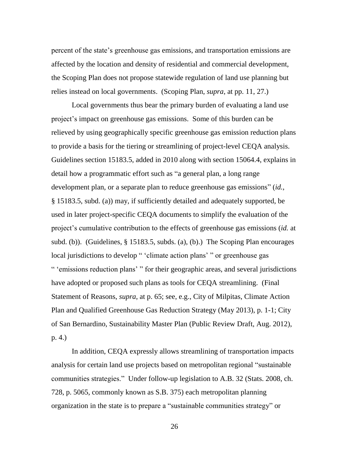percent of the state's greenhouse gas emissions, and transportation emissions are affected by the location and density of residential and commercial development, the Scoping Plan does not propose statewide regulation of land use planning but relies instead on local governments. (Scoping Plan, *supra*, at pp. 11, 27.)

Local governments thus bear the primary burden of evaluating a land use project's impact on greenhouse gas emissions. Some of this burden can be relieved by using geographically specific greenhouse gas emission reduction plans to provide a basis for the tiering or streamlining of project-level CEQA analysis. Guidelines section 15183.5, added in 2010 along with section 15064.4, explains in detail how a programmatic effort such as "a general plan, a long range development plan, or a separate plan to reduce greenhouse gas emissions" (*id.*, § 15183.5, subd. (a)) may, if sufficiently detailed and adequately supported, be used in later project-specific CEQA documents to simplify the evaluation of the project's cumulative contribution to the effects of greenhouse gas emissions (*id.* at subd. (b)). (Guidelines, § 15183.5, subds. (a), (b).) The Scoping Plan encourages local jurisdictions to develop " 'climate action plans' " or greenhouse gas " 'emissions reduction plans' " for their geographic areas, and several jurisdictions have adopted or proposed such plans as tools for CEQA streamlining. (Final Statement of Reasons, *supra*, at p. 65; see, e.g., City of Milpitas, Climate Action Plan and Qualified Greenhouse Gas Reduction Strategy (May 2013), p. 1-1; City of San Bernardino, Sustainability Master Plan (Public Review Draft, Aug. 2012), p. 4.)

In addition, CEQA expressly allows streamlining of transportation impacts analysis for certain land use projects based on metropolitan regional "sustainable" communities strategies." Under follow-up legislation to A.B. 32 (Stats. 2008, ch. 728, p. 5065, commonly known as S.B. 375) each metropolitan planning organization in the state is to prepare a "sustainable communities strategy" or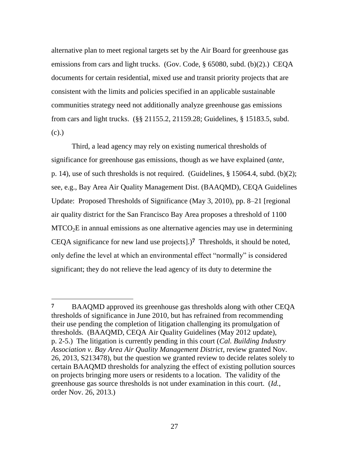alternative plan to meet regional targets set by the Air Board for greenhouse gas emissions from cars and light trucks. (Gov. Code, § 65080, subd. (b)(2).) CEQA documents for certain residential, mixed use and transit priority projects that are consistent with the limits and policies specified in an applicable sustainable communities strategy need not additionally analyze greenhouse gas emissions from cars and light trucks. (§§ 21155.2, 21159.28; Guidelines, § 15183.5, subd. (c).)

Third, a lead agency may rely on existing numerical thresholds of significance for greenhouse gas emissions, though as we have explained (*ante*, p. 14), use of such thresholds is not required. (Guidelines, § 15064.4, subd. (b)(2); see, e.g., Bay Area Air Quality Management Dist. (BAAQMD), CEQA Guidelines Update: Proposed Thresholds of Significance (May 3, 2010), pp. 8–21 [regional air quality district for the San Francisco Bay Area proposes a threshold of 1100  $MTCO<sub>2</sub>E$  in annual emissions as one alternative agencies may use in determining CEQA significance for new land use projects].)**7** Thresholds, it should be noted, only define the level at which an environmental effect "normally" is considered significant; they do not relieve the lead agency of its duty to determine the

 $\overline{a}$ 

**<sup>7</sup>** BAAQMD approved its greenhouse gas thresholds along with other CEQA thresholds of significance in June 2010, but has refrained from recommending their use pending the completion of litigation challenging its promulgation of thresholds. (BAAQMD, CEQA Air Quality Guidelines (May 2012 update), p. 2-5.) The litigation is currently pending in this court (*Cal. Building Industry Association v. Bay Area Air Quality Management District*, review granted Nov. 26, 2013, S213478), but the question we granted review to decide relates solely to certain BAAQMD thresholds for analyzing the effect of existing pollution sources on projects bringing more users or residents to a location. The validity of the greenhouse gas source thresholds is not under examination in this court. (*Id.*, order Nov. 26, 2013.)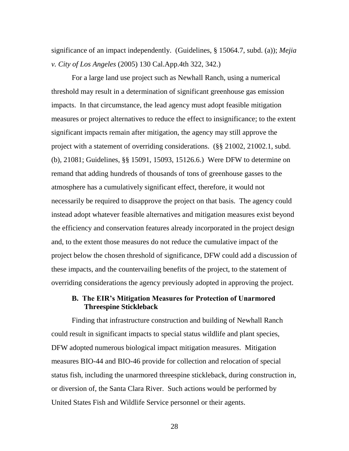significance of an impact independently. (Guidelines, § 15064.7, subd. (a)); *Mejia v. City of Los Angeles* (2005) 130 Cal.App.4th 322, 342.)

For a large land use project such as Newhall Ranch, using a numerical threshold may result in a determination of significant greenhouse gas emission impacts. In that circumstance, the lead agency must adopt feasible mitigation measures or project alternatives to reduce the effect to insignificance; to the extent significant impacts remain after mitigation, the agency may still approve the project with a statement of overriding considerations. (§§ 21002, 21002.1, subd. (b), 21081; Guidelines, §§ 15091, 15093, 15126.6.) Were DFW to determine on remand that adding hundreds of thousands of tons of greenhouse gasses to the atmosphere has a cumulatively significant effect, therefore, it would not necessarily be required to disapprove the project on that basis. The agency could instead adopt whatever feasible alternatives and mitigation measures exist beyond the efficiency and conservation features already incorporated in the project design and, to the extent those measures do not reduce the cumulative impact of the project below the chosen threshold of significance, DFW could add a discussion of these impacts, and the countervailing benefits of the project, to the statement of overriding considerations the agency previously adopted in approving the project.

# **B. The EIR's Mitigation Measures for Protection of Unarmored Threespine Stickleback**

Finding that infrastructure construction and building of Newhall Ranch could result in significant impacts to special status wildlife and plant species, DFW adopted numerous biological impact mitigation measures. Mitigation measures BIO-44 and BIO-46 provide for collection and relocation of special status fish, including the unarmored threespine stickleback, during construction in, or diversion of, the Santa Clara River. Such actions would be performed by United States Fish and Wildlife Service personnel or their agents.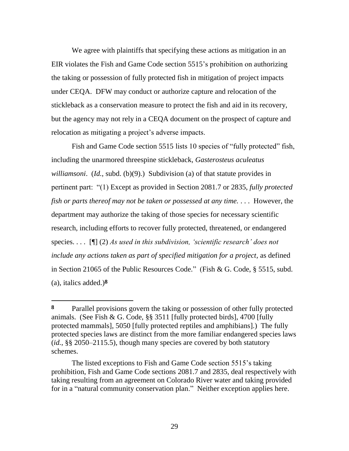We agree with plaintiffs that specifying these actions as mitigation in an EIR violates the Fish and Game Code section 5515's prohibition on authorizing the taking or possession of fully protected fish in mitigation of project impacts under CEQA. DFW may conduct or authorize capture and relocation of the stickleback as a conservation measure to protect the fish and aid in its recovery, but the agency may not rely in a CEQA document on the prospect of capture and relocation as mitigating a project's adverse impacts.

Fish and Game Code section 5515 lists 10 species of "fully protected" fish, including the unarmored threespine stickleback, *Gasterosteus aculeatus williamsoni*. (*Id.*, subd. (b)(9).) Subdivision (a) of that statute provides in pertinent part: ―(1) Except as provided in Section 2081.7 or 2835, *fully protected fish or parts thereof may not be taken or possessed at any time.* . . . However, the department may authorize the taking of those species for necessary scientific research, including efforts to recover fully protected, threatened, or endangered species. . . . [¶] (2) *As used in this subdivision, 'scientific research' does not include any actions taken as part of specified mitigation for a project,* as defined in Section 21065 of the Public Resources Code." (Fish & G. Code,  $\S$  5515, subd. (a), italics added.)**8**

 $\overline{a}$ 

**<sup>8</sup>** Parallel provisions govern the taking or possession of other fully protected animals. (See Fish & G. Code, §§ 3511 [fully protected birds], 4700 [fully protected mammals], 5050 [fully protected reptiles and amphibians].) The fully protected species laws are distinct from the more familiar endangered species laws (*id.*, §§ 2050–2115.5), though many species are covered by both statutory schemes.

The listed exceptions to Fish and Game Code section 5515's taking prohibition, Fish and Game Code sections 2081.7 and 2835, deal respectively with taking resulting from an agreement on Colorado River water and taking provided for in a "natural community conservation plan." Neither exception applies here.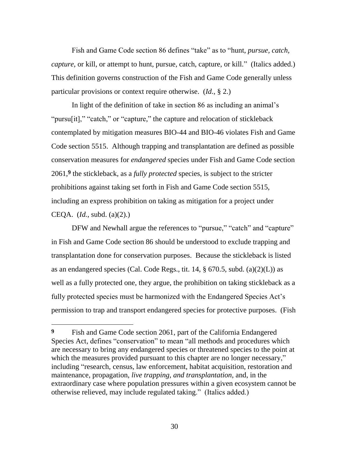Fish and Game Code section 86 defines "take" as to "hunt, *pursue, catch, capture*, or kill, or attempt to hunt, pursue, catch, capture, or kill." (Italics added.) This definition governs construction of the Fish and Game Code generally unless particular provisions or context require otherwise. (*Id.*, § 2.)

In light of the definition of take in section 86 as including an animal's "pursu<sup>[it]</sup>," "catch," or "capture," the capture and relocation of stickleback contemplated by mitigation measures BIO-44 and BIO-46 violates Fish and Game Code section 5515. Although trapping and transplantation are defined as possible conservation measures for *endangered* species under Fish and Game Code section 2061, **9** the stickleback, as a *fully protected* species, is subject to the stricter prohibitions against taking set forth in Fish and Game Code section 5515, including an express prohibition on taking as mitigation for a project under CEQA. (*Id.*, subd. (a)(2).)

DFW and Newhall argue the references to "pursue," "catch" and "capture" in Fish and Game Code section 86 should be understood to exclude trapping and transplantation done for conservation purposes. Because the stickleback is listed as an endangered species (Cal. Code Regs., tit. 14,  $\S$  670.5, subd. (a)(2)(L)) as well as a fully protected one, they argue, the prohibition on taking stickleback as a fully protected species must be harmonized with the Endangered Species Act's permission to trap and transport endangered species for protective purposes. (Fish

 $\overline{a}$ 

**<sup>9</sup>** Fish and Game Code section 2061, part of the California Endangered Species Act, defines "conservation" to mean "all methods and procedures which are necessary to bring any endangered species or threatened species to the point at which the measures provided pursuant to this chapter are no longer necessary," including "research, census, law enforcement, habitat acquisition, restoration and maintenance, propagation, *live trapping, and transplantation*, and, in the extraordinary case where population pressures within a given ecosystem cannot be otherwise relieved, may include regulated taking." (Italics added.)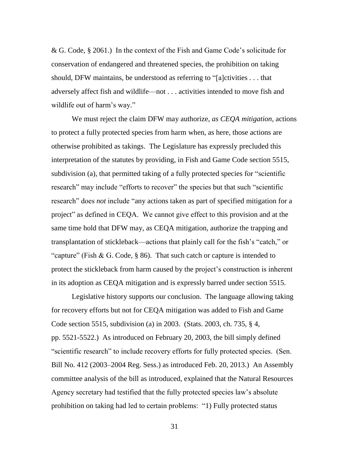& G. Code, § 2061.) In the context of the Fish and Game Code's solicitude for conservation of endangered and threatened species, the prohibition on taking should, DFW maintains, be understood as referring to " $[a]$ ctivities ... that adversely affect fish and wildlife—not . . . activities intended to move fish and wildlife out of harm's way."

We must reject the claim DFW may authorize, *as CEQA mitigation*, actions to protect a fully protected species from harm when, as here, those actions are otherwise prohibited as takings. The Legislature has expressly precluded this interpretation of the statutes by providing, in Fish and Game Code section 5515, subdivision (a), that permitted taking of a fully protected species for "scientific research" may include "efforts to recover" the species but that such "scientific research<sup>"</sup> does *not* include "any actions taken as part of specified mitigation for a project" as defined in CEQA. We cannot give effect to this provision and at the same time hold that DFW may, as CEQA mitigation, authorize the trapping and transplantation of stickleback—actions that plainly call for the fish's "catch," or "capture" (Fish & G. Code, § 86). That such catch or capture is intended to protect the stickleback from harm caused by the project's construction is inherent in its adoption as CEQA mitigation and is expressly barred under section 5515.

Legislative history supports our conclusion. The language allowing taking for recovery efforts but not for CEQA mitigation was added to Fish and Game Code section 5515, subdivision (a) in 2003. (Stats. 2003, ch. 735, § 4, pp. 5521-5522.) As introduced on February 20, 2003, the bill simply defined "scientific research" to include recovery efforts for fully protected species. (Sen. Bill No. 412 (2003–2004 Reg. Sess.) as introduced Feb. 20, 2013.) An Assembly committee analysis of the bill as introduced, explained that the Natural Resources Agency secretary had testified that the fully protected species law's absolute prohibition on taking had led to certain problems: "1) Fully protected status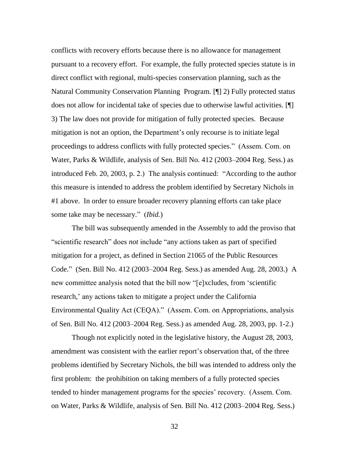conflicts with recovery efforts because there is no allowance for management pursuant to a recovery effort. For example, the fully protected species statute is in direct conflict with regional, multi-species conservation planning, such as the Natural Community Conservation Planning Program. [¶] 2) Fully protected status does not allow for incidental take of species due to otherwise lawful activities. [¶] 3) The law does not provide for mitigation of fully protected species. Because mitigation is not an option, the Department's only recourse is to initiate legal proceedings to address conflicts with fully protected species.‖ (Assem. Com. on Water, Parks & Wildlife, analysis of Sen. Bill No. 412 (2003–2004 Reg. Sess.) as introduced Feb. 20, 2003, p. 2.) The analysis continued: "According to the author this measure is intended to address the problem identified by Secretary Nichols in #1 above. In order to ensure broader recovery planning efforts can take place some take may be necessary." *(Ibid.)* 

The bill was subsequently amended in the Assembly to add the proviso that "scientific research" does *not* include "any actions taken as part of specified mitigation for a project, as defined in Section 21065 of the Public Resources Code.‖ (Sen. Bill No. 412 (2003–2004 Reg. Sess.) as amended Aug. 28, 2003.) A new committee analysis noted that the bill now "[e]xcludes, from 'scientific research,' any actions taken to mitigate a project under the California Environmental Quality Act (CEQA)." (Assem. Com. on Appropriations, analysis of Sen. Bill No. 412 (2003–2004 Reg. Sess.) as amended Aug. 28, 2003, pp. 1-2.)

Though not explicitly noted in the legislative history, the August 28, 2003, amendment was consistent with the earlier report's observation that, of the three problems identified by Secretary Nichols, the bill was intended to address only the first problem: the prohibition on taking members of a fully protected species tended to hinder management programs for the species' recovery. (Assem. Com. on Water, Parks & Wildlife, analysis of Sen. Bill No. 412 (2003–2004 Reg. Sess.)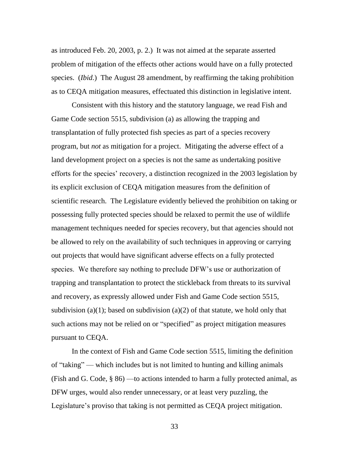as introduced Feb. 20, 2003, p. 2.) It was not aimed at the separate asserted problem of mitigation of the effects other actions would have on a fully protected species. (*Ibid.*) The August 28 amendment, by reaffirming the taking prohibition as to CEQA mitigation measures, effectuated this distinction in legislative intent.

Consistent with this history and the statutory language, we read Fish and Game Code section 5515, subdivision (a) as allowing the trapping and transplantation of fully protected fish species as part of a species recovery program, but *not* as mitigation for a project. Mitigating the adverse effect of a land development project on a species is not the same as undertaking positive efforts for the species' recovery, a distinction recognized in the 2003 legislation by its explicit exclusion of CEQA mitigation measures from the definition of scientific research. The Legislature evidently believed the prohibition on taking or possessing fully protected species should be relaxed to permit the use of wildlife management techniques needed for species recovery, but that agencies should not be allowed to rely on the availability of such techniques in approving or carrying out projects that would have significant adverse effects on a fully protected species. We therefore say nothing to preclude DFW's use or authorization of trapping and transplantation to protect the stickleback from threats to its survival and recovery, as expressly allowed under Fish and Game Code section 5515, subdivision (a)(1); based on subdivision (a)(2) of that statute, we hold only that such actions may not be relied on or "specified" as project mitigation measures pursuant to CEQA.

In the context of Fish and Game Code section 5515, limiting the definition of "taking" — which includes but is not limited to hunting and killing animals (Fish and G. Code, § 86) —to actions intended to harm a fully protected animal, as DFW urges, would also render unnecessary, or at least very puzzling, the Legislature's proviso that taking is not permitted as CEQA project mitigation.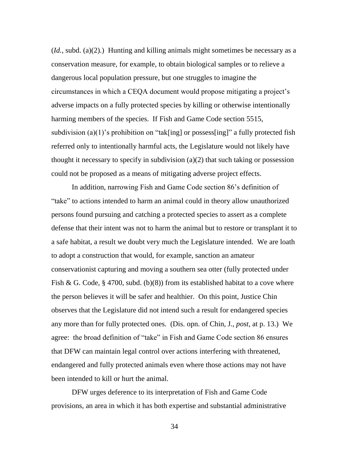$(Id., subd. (a)(2).)$  Hunting and killing animals might sometimes be necessary as a conservation measure, for example, to obtain biological samples or to relieve a dangerous local population pressure, but one struggles to imagine the circumstances in which a CEQA document would propose mitigating a project's adverse impacts on a fully protected species by killing or otherwise intentionally harming members of the species. If Fish and Game Code section 5515, subdivision (a)(1)'s prohibition on "tak[ing] or possess[ing]" a fully protected fish referred only to intentionally harmful acts, the Legislature would not likely have thought it necessary to specify in subdivision (a)(2) that such taking or possession could not be proposed as a means of mitigating adverse project effects.

In addition, narrowing Fish and Game Code section 86's definition of "take" to actions intended to harm an animal could in theory allow unauthorized persons found pursuing and catching a protected species to assert as a complete defense that their intent was not to harm the animal but to restore or transplant it to a safe habitat, a result we doubt very much the Legislature intended. We are loath to adopt a construction that would, for example, sanction an amateur conservationist capturing and moving a southern sea otter (fully protected under Fish & G. Code, § 4700, subd. (b)(8)) from its established habitat to a cove where the person believes it will be safer and healthier. On this point, Justice Chin observes that the Legislature did not intend such a result for endangered species any more than for fully protected ones. (Dis. opn. of Chin, J., *post*, at p. 13.) We agree: the broad definition of "take" in Fish and Game Code section 86 ensures that DFW can maintain legal control over actions interfering with threatened, endangered and fully protected animals even where those actions may not have been intended to kill or hurt the animal.

DFW urges deference to its interpretation of Fish and Game Code provisions, an area in which it has both expertise and substantial administrative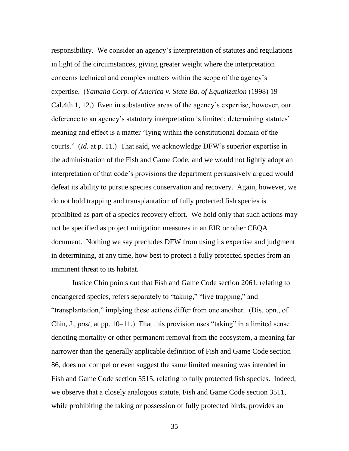responsibility. We consider an agency's interpretation of statutes and regulations in light of the circumstances, giving greater weight where the interpretation concerns technical and complex matters within the scope of the agency's expertise. (*Yamaha Corp. of America v. State Bd. of Equalization* (1998) 19 Cal.4th 1, 12.) Even in substantive areas of the agency's expertise, however, our deference to an agency's statutory interpretation is limited; determining statutes' meaning and effect is a matter "lying within the constitutional domain of the courts.‖ (*Id.* at p. 11.) That said, we acknowledge DFW's superior expertise in the administration of the Fish and Game Code, and we would not lightly adopt an interpretation of that code's provisions the department persuasively argued would defeat its ability to pursue species conservation and recovery. Again, however, we do not hold trapping and transplantation of fully protected fish species is prohibited as part of a species recovery effort. We hold only that such actions may not be specified as project mitigation measures in an EIR or other CEQA document. Nothing we say precludes DFW from using its expertise and judgment in determining, at any time, how best to protect a fully protected species from an imminent threat to its habitat.

Justice Chin points out that Fish and Game Code section 2061, relating to endangered species, refers separately to "taking," "live trapping," and ―transplantation,‖ implying these actions differ from one another. (Dis. opn., of Chin, J., *post*, at pp. 10–11.) That this provision uses "taking" in a limited sense denoting mortality or other permanent removal from the ecosystem, a meaning far narrower than the generally applicable definition of Fish and Game Code section 86, does not compel or even suggest the same limited meaning was intended in Fish and Game Code section 5515, relating to fully protected fish species. Indeed, we observe that a closely analogous statute, Fish and Game Code section 3511, while prohibiting the taking or possession of fully protected birds, provides an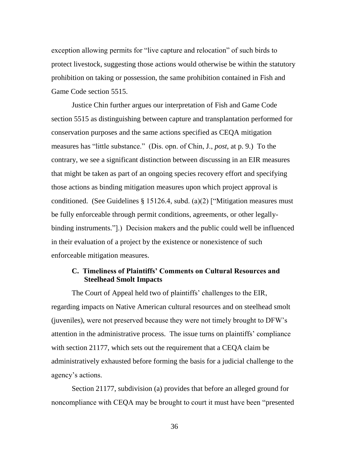exception allowing permits for "live capture and relocation" of such birds to protect livestock, suggesting those actions would otherwise be within the statutory prohibition on taking or possession, the same prohibition contained in Fish and Game Code section 5515.

Justice Chin further argues our interpretation of Fish and Game Code section 5515 as distinguishing between capture and transplantation performed for conservation purposes and the same actions specified as CEQA mitigation measures has "little substance." (Dis. opn. of Chin, J., *post*, at p. 9.) To the contrary, we see a significant distinction between discussing in an EIR measures that might be taken as part of an ongoing species recovery effort and specifying those actions as binding mitigation measures upon which project approval is conditioned. (See Guidelines § 15126.4, subd. (a)(2) ["Mitigation measures must be fully enforceable through permit conditions, agreements, or other legallybinding instruments."].) Decision makers and the public could well be influenced in their evaluation of a project by the existence or nonexistence of such enforceable mitigation measures.

# **C. Timeliness of Plaintiffs' Comments on Cultural Resources and Steelhead Smolt Impacts**

The Court of Appeal held two of plaintiffs' challenges to the EIR, regarding impacts on Native American cultural resources and on steelhead smolt (juveniles), were not preserved because they were not timely brought to DFW's attention in the administrative process. The issue turns on plaintiffs' compliance with section 21177, which sets out the requirement that a CEQA claim be administratively exhausted before forming the basis for a judicial challenge to the agency's actions.

Section 21177, subdivision (a) provides that before an alleged ground for noncompliance with CEQA may be brought to court it must have been "presented"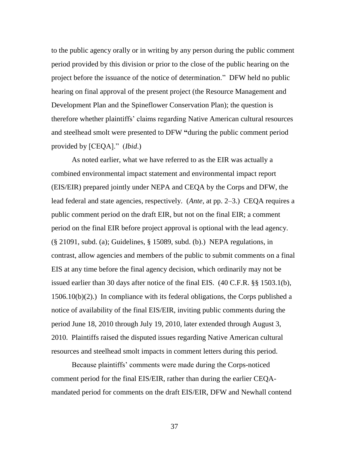to the public agency orally or in writing by any person during the public comment period provided by this division or prior to the close of the public hearing on the project before the issuance of the notice of determination." DFW held no public hearing on final approval of the present project (the Resource Management and Development Plan and the Spineflower Conservation Plan); the question is therefore whether plaintiffs' claims regarding Native American cultural resources and steelhead smolt were presented to DFW **"**during the public comment period provided by [CEQA]." (*Ibid*.)

As noted earlier, what we have referred to as the EIR was actually a combined environmental impact statement and environmental impact report (EIS/EIR) prepared jointly under NEPA and CEQA by the Corps and DFW, the lead federal and state agencies, respectively. (*Ante*, at pp. 2–3.) CEQA requires a public comment period on the draft EIR, but not on the final EIR; a comment period on the final EIR before project approval is optional with the lead agency. (§ 21091, subd. (a); Guidelines, § 15089, subd. (b).) NEPA regulations, in contrast, allow agencies and members of the public to submit comments on a final EIS at any time before the final agency decision, which ordinarily may not be issued earlier than 30 days after notice of the final EIS. (40 C.F.R. §§ 1503.1(b), 1506.10(b)(2).) In compliance with its federal obligations, the Corps published a notice of availability of the final EIS/EIR, inviting public comments during the period June 18, 2010 through July 19, 2010, later extended through August 3, 2010. Plaintiffs raised the disputed issues regarding Native American cultural resources and steelhead smolt impacts in comment letters during this period.

Because plaintiffs' comments were made during the Corps-noticed comment period for the final EIS/EIR, rather than during the earlier CEQAmandated period for comments on the draft EIS/EIR, DFW and Newhall contend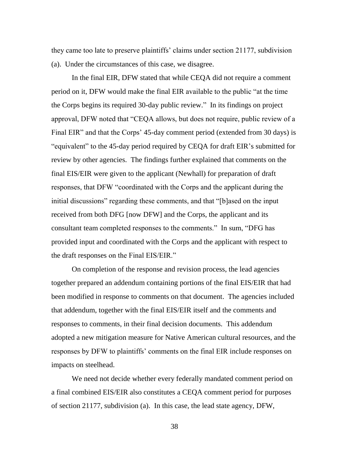they came too late to preserve plaintiffs' claims under section 21177, subdivision (a). Under the circumstances of this case, we disagree.

In the final EIR, DFW stated that while CEQA did not require a comment period on it, DFW would make the final EIR available to the public "at the time" the Corps begins its required 30-day public review.‖ In its findings on project approval, DFW noted that "CEQA allows, but does not require, public review of a Final EIR" and that the Corps' 45-day comment period (extended from 30 days) is "equivalent" to the 45-day period required by CEQA for draft EIR's submitted for review by other agencies. The findings further explained that comments on the final EIS/EIR were given to the applicant (Newhall) for preparation of draft responses, that DFW "coordinated with the Corps and the applicant during the initial discussions" regarding these comments, and that "[b]ased on the input received from both DFG [now DFW] and the Corps, the applicant and its consultant team completed responses to the comments." In sum, "DFG has provided input and coordinated with the Corps and the applicant with respect to the draft responses on the Final EIS/EIR."

On completion of the response and revision process, the lead agencies together prepared an addendum containing portions of the final EIS/EIR that had been modified in response to comments on that document. The agencies included that addendum, together with the final EIS/EIR itself and the comments and responses to comments, in their final decision documents. This addendum adopted a new mitigation measure for Native American cultural resources, and the responses by DFW to plaintiffs' comments on the final EIR include responses on impacts on steelhead.

We need not decide whether every federally mandated comment period on a final combined EIS/EIR also constitutes a CEQA comment period for purposes of section 21177, subdivision (a). In this case, the lead state agency, DFW,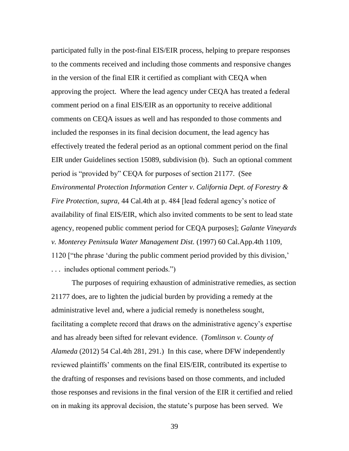participated fully in the post-final EIS/EIR process, helping to prepare responses to the comments received and including those comments and responsive changes in the version of the final EIR it certified as compliant with CEQA when approving the project. Where the lead agency under CEQA has treated a federal comment period on a final EIS/EIR as an opportunity to receive additional comments on CEQA issues as well and has responded to those comments and included the responses in its final decision document, the lead agency has effectively treated the federal period as an optional comment period on the final EIR under Guidelines section 15089, subdivision (b). Such an optional comment period is "provided by" CEQA for purposes of section 21177. (See *Environmental Protection Information Center v. California Dept. of Forestry & Fire Protection*, *supra*, 44 Cal.4th at p. 484 [lead federal agency's notice of availability of final EIS/EIR, which also invited comments to be sent to lead state agency, reopened public comment period for CEQA purposes]; *Galante Vineyards v. Monterey Peninsula Water Management Dist.* (1997) 60 Cal.App.4th 1109, 1120 ["the phrase 'during the public comment period provided by this division," ... includes optional comment periods.")

The purposes of requiring exhaustion of administrative remedies, as section 21177 does, are to lighten the judicial burden by providing a remedy at the administrative level and, where a judicial remedy is nonetheless sought, facilitating a complete record that draws on the administrative agency's expertise and has already been sifted for relevant evidence. (*Tomlinson v. County of Alameda* (2012) 54 Cal.4th 281, 291.) In this case, where DFW independently reviewed plaintiffs' comments on the final EIS/EIR, contributed its expertise to the drafting of responses and revisions based on those comments, and included those responses and revisions in the final version of the EIR it certified and relied on in making its approval decision, the statute's purpose has been served. We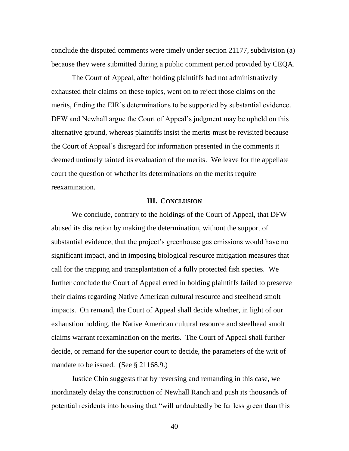conclude the disputed comments were timely under section 21177, subdivision (a) because they were submitted during a public comment period provided by CEQA.

The Court of Appeal, after holding plaintiffs had not administratively exhausted their claims on these topics, went on to reject those claims on the merits, finding the EIR's determinations to be supported by substantial evidence. DFW and Newhall argue the Court of Appeal's judgment may be upheld on this alternative ground, whereas plaintiffs insist the merits must be revisited because the Court of Appeal's disregard for information presented in the comments it deemed untimely tainted its evaluation of the merits. We leave for the appellate court the question of whether its determinations on the merits require reexamination.

### **III. CONCLUSION**

We conclude, contrary to the holdings of the Court of Appeal, that DFW abused its discretion by making the determination, without the support of substantial evidence, that the project's greenhouse gas emissions would have no significant impact, and in imposing biological resource mitigation measures that call for the trapping and transplantation of a fully protected fish species. We further conclude the Court of Appeal erred in holding plaintiffs failed to preserve their claims regarding Native American cultural resource and steelhead smolt impacts. On remand, the Court of Appeal shall decide whether, in light of our exhaustion holding, the Native American cultural resource and steelhead smolt claims warrant reexamination on the merits. The Court of Appeal shall further decide, or remand for the superior court to decide, the parameters of the writ of mandate to be issued. (See § 21168.9.)

Justice Chin suggests that by reversing and remanding in this case, we inordinately delay the construction of Newhall Ranch and push its thousands of potential residents into housing that "will undoubtedly be far less green than this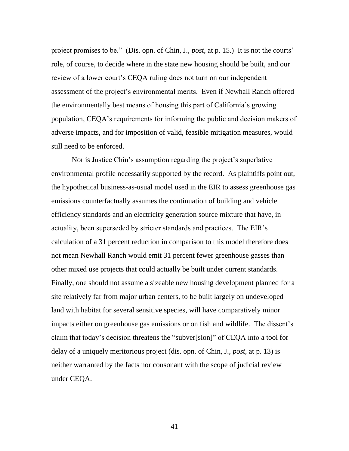project promises to be.‖ (Dis. opn. of Chin, J., *post*, at p. 15.) It is not the courts' role, of course, to decide where in the state new housing should be built, and our review of a lower court's CEQA ruling does not turn on our independent assessment of the project's environmental merits. Even if Newhall Ranch offered the environmentally best means of housing this part of California's growing population, CEQA's requirements for informing the public and decision makers of adverse impacts, and for imposition of valid, feasible mitigation measures, would still need to be enforced.

Nor is Justice Chin's assumption regarding the project's superlative environmental profile necessarily supported by the record. As plaintiffs point out, the hypothetical business-as-usual model used in the EIR to assess greenhouse gas emissions counterfactually assumes the continuation of building and vehicle efficiency standards and an electricity generation source mixture that have, in actuality, been superseded by stricter standards and practices. The EIR's calculation of a 31 percent reduction in comparison to this model therefore does not mean Newhall Ranch would emit 31 percent fewer greenhouse gasses than other mixed use projects that could actually be built under current standards. Finally, one should not assume a sizeable new housing development planned for a site relatively far from major urban centers, to be built largely on undeveloped land with habitat for several sensitive species, will have comparatively minor impacts either on greenhouse gas emissions or on fish and wildlife. The dissent's claim that today's decision threatens the "subver[sion]" of CEQA into a tool for delay of a uniquely meritorious project (dis. opn. of Chin, J., *post*, at p. 13) is neither warranted by the facts nor consonant with the scope of judicial review under CEQA.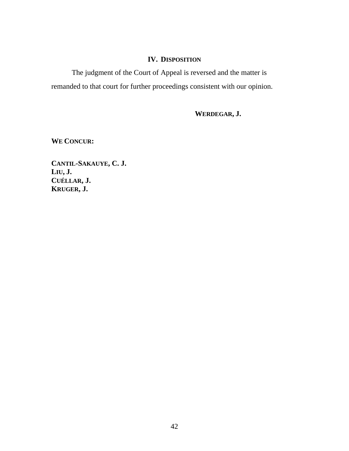# **IV. DISPOSITION**

The judgment of the Court of Appeal is reversed and the matter is remanded to that court for further proceedings consistent with our opinion.

**WERDEGAR, J.**

**WE CONCUR:**

**CANTIL-SAKAUYE, C. J. LIU, J. CUÉLLAR, J. KRUGER, J.**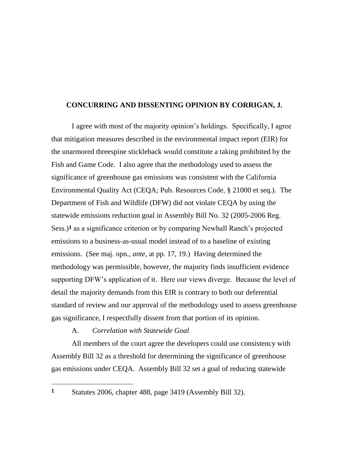# **CONCURRING AND DISSENTING OPINION BY CORRIGAN, J.**

I agree with most of the majority opinion's holdings. Specifically, I agree that mitigation measures described in the environmental impact report (EIR) for the unarmored threespine stickleback would constitute a taking prohibited by the Fish and Game Code. I also agree that the methodology used to assess the significance of greenhouse gas emissions was consistent with the California Environmental Quality Act (CEQA; Pub. Resources Code, § 21000 et seq.). The Department of Fish and Wildlife (DFW) did not violate CEQA by using the statewide emissions reduction goal in Assembly Bill No. 32 (2005-2006 Reg. Sess.)**1** as a significance criterion or by comparing Newhall Ranch's projected emissions to a business-as-usual model instead of to a baseline of existing emissions. (See maj. opn., *ante*, at pp. 17, 19.) Having determined the methodology was permissible, however, the majority finds insufficient evidence supporting DFW's application of it. Here our views diverge. Because the level of detail the majority demands from this EIR is contrary to both our deferential standard of review and our approval of the methodology used to assess greenhouse gas significance, I respectfully dissent from that portion of its opinion.

#### A. *Correlation with Statewide Goal*

All members of the court agree the developers could use consistency with Assembly Bill 32 as a threshold for determining the significance of greenhouse gas emissions under CEQA. Assembly Bill 32 set a goal of reducing statewide

 $\overline{a}$ 

**<sup>1</sup>** Statutes 2006, chapter 488, page 3419 (Assembly Bill 32).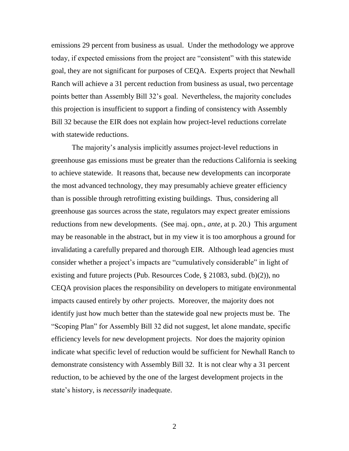emissions 29 percent from business as usual. Under the methodology we approve today, if expected emissions from the project are "consistent" with this statewide goal, they are not significant for purposes of CEQA. Experts project that Newhall Ranch will achieve a 31 percent reduction from business as usual, two percentage points better than Assembly Bill 32's goal. Nevertheless, the majority concludes this projection is insufficient to support a finding of consistency with Assembly Bill 32 because the EIR does not explain how project-level reductions correlate with statewide reductions.

The majority's analysis implicitly assumes project-level reductions in greenhouse gas emissions must be greater than the reductions California is seeking to achieve statewide. It reasons that, because new developments can incorporate the most advanced technology, they may presumably achieve greater efficiency than is possible through retrofitting existing buildings. Thus, considering all greenhouse gas sources across the state, regulators may expect greater emissions reductions from new developments. (See maj. opn., *ante*, at p. 20.) This argument may be reasonable in the abstract, but in my view it is too amorphous a ground for invalidating a carefully prepared and thorough EIR. Although lead agencies must consider whether a project's impacts are "cumulatively considerable" in light of existing and future projects (Pub. Resources Code, § 21083, subd. (b)(2)), no CEQA provision places the responsibility on developers to mitigate environmental impacts caused entirely by *other* projects. Moreover, the majority does not identify just how much better than the statewide goal new projects must be. The ―Scoping Plan‖ for Assembly Bill 32 did not suggest, let alone mandate, specific efficiency levels for new development projects. Nor does the majority opinion indicate what specific level of reduction would be sufficient for Newhall Ranch to demonstrate consistency with Assembly Bill 32. It is not clear why a 31 percent reduction, to be achieved by the one of the largest development projects in the state's history, is *necessarily* inadequate.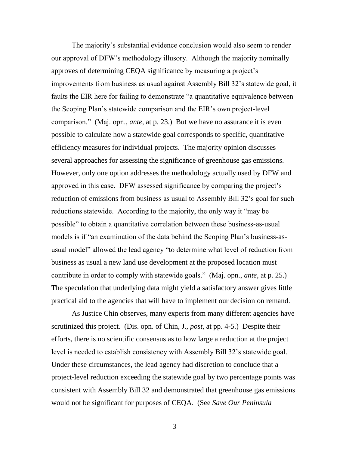The majority's substantial evidence conclusion would also seem to render our approval of DFW's methodology illusory. Although the majority nominally approves of determining CEQA significance by measuring a project's improvements from business as usual against Assembly Bill 32's statewide goal, it faults the EIR here for failing to demonstrate "a quantitative equivalence between the Scoping Plan's statewide comparison and the EIR's own project-level comparison.‖ (Maj. opn., *ante*, at p. 23.) But we have no assurance it is even possible to calculate how a statewide goal corresponds to specific, quantitative efficiency measures for individual projects. The majority opinion discusses several approaches for assessing the significance of greenhouse gas emissions. However, only one option addresses the methodology actually used by DFW and approved in this case. DFW assessed significance by comparing the project's reduction of emissions from business as usual to Assembly Bill 32's goal for such reductions statewide. According to the majority, the only way it "may be possible" to obtain a quantitative correlation between these business-as-usual models is if "an examination of the data behind the Scoping Plan's business-asusual model" allowed the lead agency "to determine what level of reduction from business as usual a new land use development at the proposed location must contribute in order to comply with statewide goals." (Maj. opn., *ante*, at p. 25.) The speculation that underlying data might yield a satisfactory answer gives little practical aid to the agencies that will have to implement our decision on remand.

As Justice Chin observes, many experts from many different agencies have scrutinized this project. (Dis. opn. of Chin, J., *post*, at pp. 4-5.) Despite their efforts, there is no scientific consensus as to how large a reduction at the project level is needed to establish consistency with Assembly Bill 32's statewide goal. Under these circumstances, the lead agency had discretion to conclude that a project-level reduction exceeding the statewide goal by two percentage points was consistent with Assembly Bill 32 and demonstrated that greenhouse gas emissions would not be significant for purposes of CEQA. (See *Save Our Peninsula*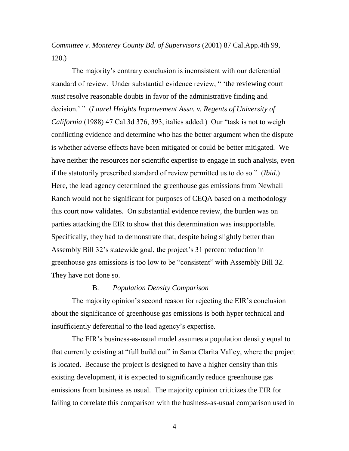*Committee v. Monterey County Bd. of Supervisors* (2001) 87 Cal.App.4th 99, 120.)

The majority's contrary conclusion is inconsistent with our deferential standard of review. Under substantial evidence review, " 'the reviewing court *must* resolve reasonable doubts in favor of the administrative finding and decision.' " (*Laurel Heights Improvement Assn. v. Regents of University of California* (1988) 47 Cal.3d 376, 393, italics added.) Our "task is not to weigh conflicting evidence and determine who has the better argument when the dispute is whether adverse effects have been mitigated or could be better mitigated. We have neither the resources nor scientific expertise to engage in such analysis, even if the statutorily prescribed standard of review permitted us to do so." *(Ibid.)* Here, the lead agency determined the greenhouse gas emissions from Newhall Ranch would not be significant for purposes of CEQA based on a methodology this court now validates. On substantial evidence review, the burden was on parties attacking the EIR to show that this determination was insupportable. Specifically, they had to demonstrate that, despite being slightly better than Assembly Bill 32's statewide goal, the project's 31 percent reduction in greenhouse gas emissions is too low to be "consistent" with Assembly Bill 32. They have not done so.

# B. *Population Density Comparison*

The majority opinion's second reason for rejecting the EIR's conclusion about the significance of greenhouse gas emissions is both hyper technical and insufficiently deferential to the lead agency's expertise.

The EIR's business-as-usual model assumes a population density equal to that currently existing at "full build out" in Santa Clarita Valley, where the project is located. Because the project is designed to have a higher density than this existing development, it is expected to significantly reduce greenhouse gas emissions from business as usual. The majority opinion criticizes the EIR for failing to correlate this comparison with the business-as-usual comparison used in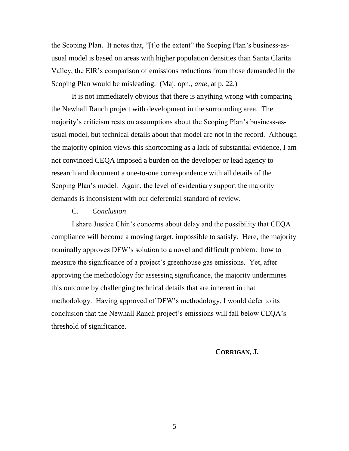the Scoping Plan. It notes that, "[t]o the extent" the Scoping Plan's business-asusual model is based on areas with higher population densities than Santa Clarita Valley, the EIR's comparison of emissions reductions from those demanded in the Scoping Plan would be misleading. (Maj. opn., *ante*, at p. 22.)

It is not immediately obvious that there is anything wrong with comparing the Newhall Ranch project with development in the surrounding area. The majority's criticism rests on assumptions about the Scoping Plan's business-asusual model, but technical details about that model are not in the record. Although the majority opinion views this shortcoming as a lack of substantial evidence, I am not convinced CEQA imposed a burden on the developer or lead agency to research and document a one-to-one correspondence with all details of the Scoping Plan's model. Again, the level of evidentiary support the majority demands is inconsistent with our deferential standard of review.

# C. *Conclusion*

I share Justice Chin's concerns about delay and the possibility that CEQA compliance will become a moving target, impossible to satisfy. Here, the majority nominally approves DFW's solution to a novel and difficult problem: how to measure the significance of a project's greenhouse gas emissions. Yet, after approving the methodology for assessing significance, the majority undermines this outcome by challenging technical details that are inherent in that methodology. Having approved of DFW's methodology, I would defer to its conclusion that the Newhall Ranch project's emissions will fall below CEQA's threshold of significance.

# **CORRIGAN, J.**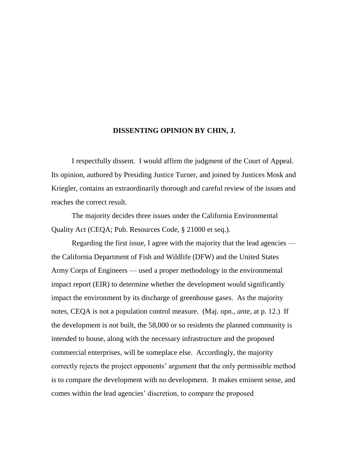### **DISSENTING OPINION BY CHIN, J.**

I respectfully dissent. I would affirm the judgment of the Court of Appeal. Its opinion, authored by Presiding Justice Turner, and joined by Justices Mosk and Kriegler, contains an extraordinarily thorough and careful review of the issues and reaches the correct result.

The majority decides three issues under the California Environmental Quality Act (CEQA; Pub. Resources Code, § 21000 et seq.).

Regarding the first issue, I agree with the majority that the lead agencies the California Department of Fish and Wildlife (DFW) and the United States Army Corps of Engineers — used a proper methodology in the environmental impact report (EIR) to determine whether the development would significantly impact the environment by its discharge of greenhouse gases. As the majority notes, CEQA is not a population control measure. (Maj. opn., *ante*, at p. 12.) If the development is not built, the 58,000 or so residents the planned community is intended to house, along with the necessary infrastructure and the proposed commercial enterprises, will be someplace else. Accordingly, the majority correctly rejects the project opponents' argument that the only permissible method is to compare the development with no development. It makes eminent sense, and comes within the lead agencies' discretion, to compare the proposed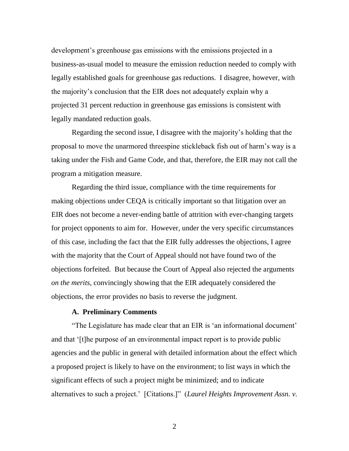development's greenhouse gas emissions with the emissions projected in a business-as-usual model to measure the emission reduction needed to comply with legally established goals for greenhouse gas reductions. I disagree, however, with the majority's conclusion that the EIR does not adequately explain why a projected 31 percent reduction in greenhouse gas emissions is consistent with legally mandated reduction goals.

Regarding the second issue, I disagree with the majority's holding that the proposal to move the unarmored threespine stickleback fish out of harm's way is a taking under the Fish and Game Code, and that, therefore, the EIR may not call the program a mitigation measure.

Regarding the third issue, compliance with the time requirements for making objections under CEQA is critically important so that litigation over an EIR does not become a never-ending battle of attrition with ever-changing targets for project opponents to aim for. However, under the very specific circumstances of this case, including the fact that the EIR fully addresses the objections, I agree with the majority that the Court of Appeal should not have found two of the objections forfeited. But because the Court of Appeal also rejected the arguments *on the merits*, convincingly showing that the EIR adequately considered the objections, the error provides no basis to reverse the judgment.

# **A. Preliminary Comments**

―The Legislature has made clear that an EIR is ‗an informational document' and that ‗[t]he purpose of an environmental impact report is to provide public agencies and the public in general with detailed information about the effect which a proposed project is likely to have on the environment; to list ways in which the significant effects of such a project might be minimized; and to indicate alternatives to such a project.' [Citations.]" (*Laurel Heights Improvement Assn. v.*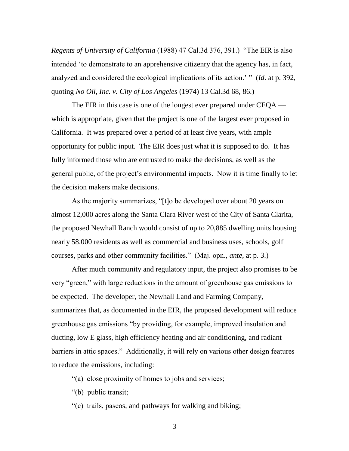*Regents of University of California* (1988) 47 Cal.3d 376, 391.) "The EIR is also intended 'to demonstrate to an apprehensive citizenry that the agency has, in fact, analyzed and considered the ecological implications of its action.' " (*Id.* at p. 392, quoting *No Oil, Inc. v. City of Los Angeles* (1974) 13 Cal.3d 68, 86.)

The EIR in this case is one of the longest ever prepared under CEQA which is appropriate, given that the project is one of the largest ever proposed in California. It was prepared over a period of at least five years, with ample opportunity for public input. The EIR does just what it is supposed to do. It has fully informed those who are entrusted to make the decisions, as well as the general public, of the project's environmental impacts. Now it is time finally to let the decision makers make decisions.

As the majority summarizes, "[t]o be developed over about 20 years on almost 12,000 acres along the Santa Clara River west of the City of Santa Clarita, the proposed Newhall Ranch would consist of up to 20,885 dwelling units housing nearly 58,000 residents as well as commercial and business uses, schools, golf courses, parks and other community facilities.‖ (Maj. opn., *ante*, at p. 3.)

After much community and regulatory input, the project also promises to be very "green," with large reductions in the amount of greenhouse gas emissions to be expected. The developer, the Newhall Land and Farming Company, summarizes that, as documented in the EIR, the proposed development will reduce greenhouse gas emissions "by providing, for example, improved insulation and ducting, low E glass, high efficiency heating and air conditioning, and radiant barriers in attic spaces." Additionally, it will rely on various other design features to reduce the emissions, including:

―(a) close proximity of homes to jobs and services;

―(b) public transit;

―(c) trails, paseos, and pathways for walking and biking;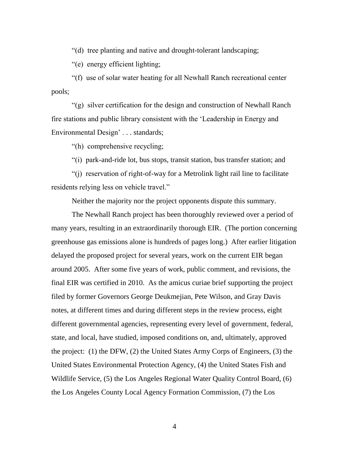―(d) tree planting and native and drought-tolerant landscaping;

―(e) energy efficient lighting;

―(f) use of solar water heating for all Newhall Ranch recreational center pools;

―(g) silver certification for the design and construction of Newhall Ranch fire stations and public library consistent with the ‗Leadership in Energy and Environmental Design' . . . standards;

―(h) comprehensive recycling;

―(i) park-and-ride lot, bus stops, transit station, bus transfer station; and

―(j) reservation of right-of-way for a Metrolink light rail line to facilitate residents relying less on vehicle travel."

Neither the majority nor the project opponents dispute this summary.

The Newhall Ranch project has been thoroughly reviewed over a period of many years, resulting in an extraordinarily thorough EIR. (The portion concerning greenhouse gas emissions alone is hundreds of pages long.) After earlier litigation delayed the proposed project for several years, work on the current EIR began around 2005. After some five years of work, public comment, and revisions, the final EIR was certified in 2010. As the amicus curiae brief supporting the project filed by former Governors George Deukmejian, Pete Wilson, and Gray Davis notes, at different times and during different steps in the review process, eight different governmental agencies, representing every level of government, federal, state, and local, have studied, imposed conditions on, and, ultimately, approved the project: (1) the DFW, (2) the United States Army Corps of Engineers, (3) the United States Environmental Protection Agency, (4) the United States Fish and Wildlife Service, (5) the Los Angeles Regional Water Quality Control Board, (6) the Los Angeles County Local Agency Formation Commission, (7) the Los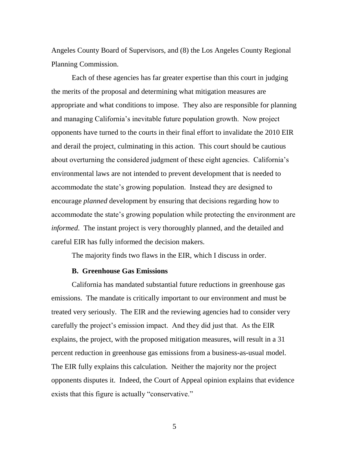Angeles County Board of Supervisors, and (8) the Los Angeles County Regional Planning Commission.

Each of these agencies has far greater expertise than this court in judging the merits of the proposal and determining what mitigation measures are appropriate and what conditions to impose. They also are responsible for planning and managing California's inevitable future population growth. Now project opponents have turned to the courts in their final effort to invalidate the 2010 EIR and derail the project, culminating in this action. This court should be cautious about overturning the considered judgment of these eight agencies. California's environmental laws are not intended to prevent development that is needed to accommodate the state's growing population. Instead they are designed to encourage *planned* development by ensuring that decisions regarding how to accommodate the state's growing population while protecting the environment are *informed*. The instant project is very thoroughly planned, and the detailed and careful EIR has fully informed the decision makers.

The majority finds two flaws in the EIR, which I discuss in order.

### **B. Greenhouse Gas Emissions**

California has mandated substantial future reductions in greenhouse gas emissions. The mandate is critically important to our environment and must be treated very seriously. The EIR and the reviewing agencies had to consider very carefully the project's emission impact. And they did just that. As the EIR explains, the project, with the proposed mitigation measures, will result in a 31 percent reduction in greenhouse gas emissions from a business-as-usual model. The EIR fully explains this calculation. Neither the majority nor the project opponents disputes it. Indeed, the Court of Appeal opinion explains that evidence exists that this figure is actually "conservative."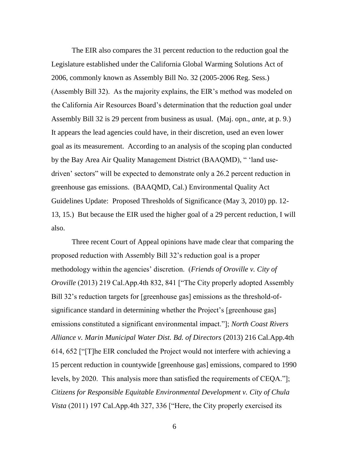The EIR also compares the 31 percent reduction to the reduction goal the Legislature established under the California Global Warming Solutions Act of 2006, commonly known as Assembly Bill No. 32 (2005-2006 Reg. Sess.) (Assembly Bill 32). As the majority explains, the EIR's method was modeled on the California Air Resources Board's determination that the reduction goal under Assembly Bill 32 is 29 percent from business as usual. (Maj. opn., *ante*, at p. 9.) It appears the lead agencies could have, in their discretion, used an even lower goal as its measurement. According to an analysis of the scoping plan conducted by the Bay Area Air Quality Management District (BAAQMD), "I and usedriven' sectors" will be expected to demonstrate only a 26.2 percent reduction in greenhouse gas emissions. (BAAQMD, Cal.) Environmental Quality Act Guidelines Update: Proposed Thresholds of Significance (May 3, 2010) pp. 12- 13, 15.) But because the EIR used the higher goal of a 29 percent reduction, I will also.

Three recent Court of Appeal opinions have made clear that comparing the proposed reduction with Assembly Bill 32's reduction goal is a proper methodology within the agencies' discretion. (*Friends of Oroville v. City of Oroville* (2013) 219 Cal.App.4th 832, 841 ["The City properly adopted Assembly Bill 32's reduction targets for [greenhouse gas] emissions as the threshold-ofsignificance standard in determining whether the Project's [greenhouse gas] emissions constituted a significant environmental impact.‖]; *North Coast Rivers Alliance v. Marin Municipal Water Dist. Bd. of Directors* (2013) 216 Cal.App.4th 614, 652 ["T]he EIR concluded the Project would not interfere with achieving a 15 percent reduction in countywide [greenhouse gas] emissions, compared to 1990 levels, by 2020. This analysis more than satisfied the requirements of CEQA."]; *Citizens for Responsible Equitable Environmental Development v. City of Chula Vista* (2011) 197 Cal.App.4th 327, 336 ["Here, the City properly exercised its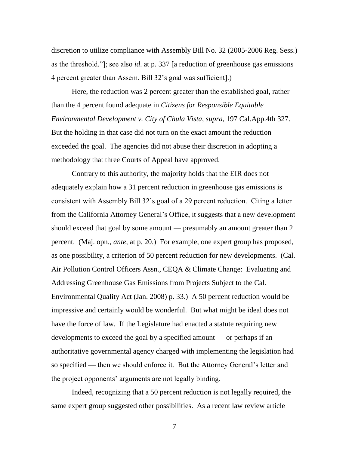discretion to utilize compliance with Assembly Bill No. 32 (2005-2006 Reg. Sess.) as the threshold.‖]; see also *id*. at p. 337 [a reduction of greenhouse gas emissions 4 percent greater than Assem. Bill 32's goal was sufficient].)

Here, the reduction was 2 percent greater than the established goal, rather than the 4 percent found adequate in *Citizens for Responsible Equitable Environmental Development v. City of Chula Vista*, *supra*, 197 Cal.App.4th 327. But the holding in that case did not turn on the exact amount the reduction exceeded the goal. The agencies did not abuse their discretion in adopting a methodology that three Courts of Appeal have approved.

Contrary to this authority, the majority holds that the EIR does not adequately explain how a 31 percent reduction in greenhouse gas emissions is consistent with Assembly Bill 32's goal of a 29 percent reduction. Citing a letter from the California Attorney General's Office, it suggests that a new development should exceed that goal by some amount — presumably an amount greater than 2 percent. (Maj. opn., *ante*, at p. 20.) For example, one expert group has proposed, as one possibility, a criterion of 50 percent reduction for new developments. (Cal. Air Pollution Control Officers Assn., CEQA & Climate Change: Evaluating and Addressing Greenhouse Gas Emissions from Projects Subject to the Cal. Environmental Quality Act (Jan. 2008) p. 33.) A 50 percent reduction would be impressive and certainly would be wonderful. But what might be ideal does not have the force of law. If the Legislature had enacted a statute requiring new developments to exceed the goal by a specified amount — or perhaps if an authoritative governmental agency charged with implementing the legislation had so specified — then we should enforce it. But the Attorney General's letter and the project opponents' arguments are not legally binding.

Indeed, recognizing that a 50 percent reduction is not legally required, the same expert group suggested other possibilities. As a recent law review article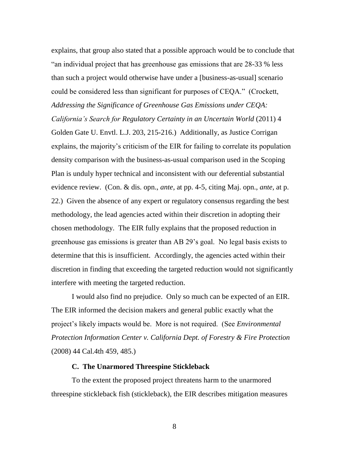explains, that group also stated that a possible approach would be to conclude that "an individual project that has greenhouse gas emissions that are 28-33 % less than such a project would otherwise have under a [business-as-usual] scenario could be considered less than significant for purposes of CEQA." (Crockett, *Addressing the Significance of Greenhouse Gas Emissions under CEQA:* 

*California's Search for Regulatory Certainty in an Uncertain World* (2011) 4 Golden Gate U. Envtl. L.J. 203, 215-216.) Additionally, as Justice Corrigan explains, the majority's criticism of the EIR for failing to correlate its population density comparison with the business-as-usual comparison used in the Scoping Plan is unduly hyper technical and inconsistent with our deferential substantial evidence review. (Con. & dis. opn., *ante*, at pp. 4-5, citing Maj. opn., *ante*, at p. 22.) Given the absence of any expert or regulatory consensus regarding the best methodology, the lead agencies acted within their discretion in adopting their chosen methodology. The EIR fully explains that the proposed reduction in greenhouse gas emissions is greater than AB 29's goal. No legal basis exists to determine that this is insufficient. Accordingly, the agencies acted within their discretion in finding that exceeding the targeted reduction would not significantly interfere with meeting the targeted reduction.

I would also find no prejudice. Only so much can be expected of an EIR. The EIR informed the decision makers and general public exactly what the project's likely impacts would be. More is not required. (See *Environmental Protection Information Center v. California Dept. of Forestry & Fire Protection* (2008) 44 Cal.4th 459, 485.)

# **C. The Unarmored Threespine Stickleback**

To the extent the proposed project threatens harm to the unarmored threespine stickleback fish (stickleback), the EIR describes mitigation measures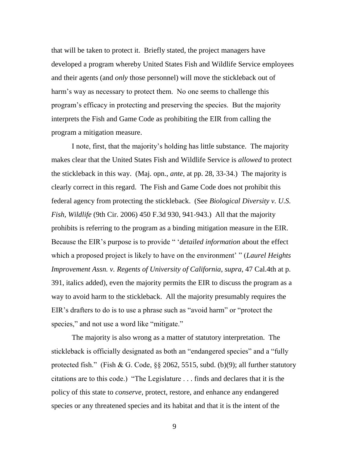that will be taken to protect it. Briefly stated, the project managers have developed a program whereby United States Fish and Wildlife Service employees and their agents (and *only* those personnel) will move the stickleback out of harm's way as necessary to protect them. No one seems to challenge this program's efficacy in protecting and preserving the species. But the majority interprets the Fish and Game Code as prohibiting the EIR from calling the program a mitigation measure.

I note, first, that the majority's holding has little substance. The majority makes clear that the United States Fish and Wildlife Service is *allowed* to protect the stickleback in this way. (Maj. opn., *ante*, at pp. 28, 33-34.) The majority is clearly correct in this regard. The Fish and Game Code does not prohibit this federal agency from protecting the stickleback. (See *Biological Diversity v. U.S. Fish, Wildlife* (9th Cir. 2006) 450 F.3d 930, 941-943.) All that the majority prohibits is referring to the program as a binding mitigation measure in the EIR. Because the EIR's purpose is to provide "*detailed information* about the effect which a proposed project is likely to have on the environment' " *(Laurel Heights*) *Improvement Assn. v. Regents of University of California*, *supra*, 47 Cal.4th at p. 391, italics added), even the majority permits the EIR to discuss the program as a way to avoid harm to the stickleback. All the majority presumably requires the EIR's drafters to do is to use a phrase such as "avoid harm" or "protect the species," and not use a word like "mitigate."

The majority is also wrong as a matter of statutory interpretation. The stickleback is officially designated as both an "endangered species" and a "fully protected fish." (Fish & G. Code,  $\S$ § 2062, 5515, subd. (b)(9); all further statutory citations are to this code.) ―The Legislature . . . finds and declares that it is the policy of this state to *conserve*, protect, restore, and enhance any endangered species or any threatened species and its habitat and that it is the intent of the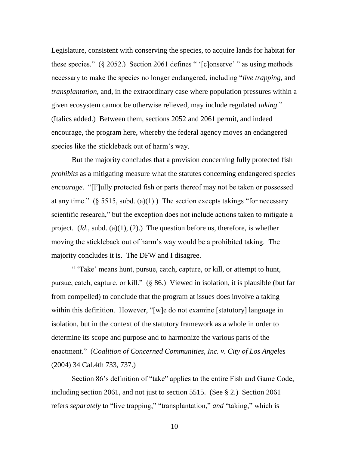Legislature, consistent with conserving the species, to acquire lands for habitat for these species."  $(\S 2052)$  Section 2061 defines " '[c]onserve' " as using methods necessary to make the species no longer endangered, including "*live trapping*, and *transplantation*, and, in the extraordinary case where population pressures within a given ecosystem cannot be otherwise relieved, may include regulated *taking*." (Italics added.) Between them, sections 2052 and 2061 permit, and indeed encourage, the program here, whereby the federal agency moves an endangered species like the stickleback out of harm's way.

But the majority concludes that a provision concerning fully protected fish *prohibits* as a mitigating measure what the statutes concerning endangered species *encourage.* "[F]ully protected fish or parts thereof may not be taken or possessed at any time." ( $\S$  5515, subd. (a)(1).) The section excepts takings "for necessary scientific research," but the exception does not include actions taken to mitigate a project. (*Id*., subd. (a)(1), (2).) The question before us, therefore, is whether moving the stickleback out of harm's way would be a prohibited taking. The majority concludes it is. The DFW and I disagree.

― ‗Take' means hunt, pursue, catch, capture, or kill, or attempt to hunt, pursue, catch, capture, or kill."  $(\S$  86.) Viewed in isolation, it is plausible (but far from compelled) to conclude that the program at issues does involve a taking within this definition. However, "[w]e do not examine [statutory] language in isolation, but in the context of the statutory framework as a whole in order to determine its scope and purpose and to harmonize the various parts of the enactment.‖ (*Coalition of Concerned Communities, Inc. v. City of Los Angeles* (2004) 34 Cal.4th 733, 737.)

Section 86's definition of "take" applies to the entire Fish and Game Code, including section 2061, and not just to section 5515. (See § 2.) Section 2061 refers *separately* to "live trapping," "transplantation," *and* "taking," which is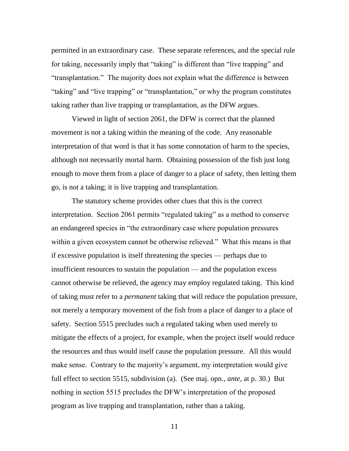permitted in an extraordinary case. These separate references, and the special rule for taking, necessarily imply that "taking" is different than "live trapping" and "transplantation." The majority does not explain what the difference is between "taking" and "live trapping" or "transplantation," or why the program constitutes taking rather than live trapping or transplantation, as the DFW argues.

Viewed in light of section 2061, the DFW is correct that the planned movement is not a taking within the meaning of the code. Any reasonable interpretation of that word is that it has some connotation of harm to the species, although not necessarily mortal harm. Obtaining possession of the fish just long enough to move them from a place of danger to a place of safety, then letting them go, is not a taking; it is live trapping and transplantation.

The statutory scheme provides other clues that this is the correct interpretation. Section 2061 permits "regulated taking" as a method to conserve an endangered species in "the extraordinary case where population pressures" within a given ecosystem cannot be otherwise relieved." What this means is that if excessive population is itself threatening the species — perhaps due to insufficient resources to sustain the population — and the population excess cannot otherwise be relieved, the agency may employ regulated taking. This kind of taking must refer to a *permanent* taking that will reduce the population pressure, not merely a temporary movement of the fish from a place of danger to a place of safety. Section 5515 precludes such a regulated taking when used merely to mitigate the effects of a project, for example, when the project itself would reduce the resources and thus would itself cause the population pressure. All this would make sense. Contrary to the majority's argument, my interpretation would give full effect to section 5515, subdivision (a). (See maj. opn., *ante*, at p. 30.) But nothing in section 5515 precludes the DFW's interpretation of the proposed program as live trapping and transplantation, rather than a taking.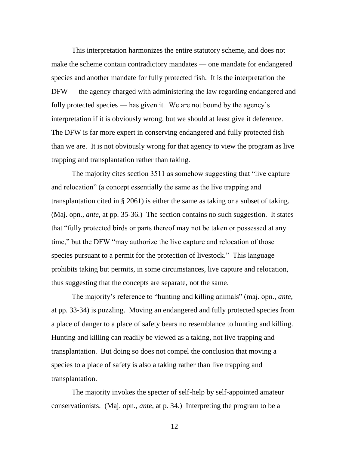This interpretation harmonizes the entire statutory scheme, and does not make the scheme contain contradictory mandates — one mandate for endangered species and another mandate for fully protected fish. It is the interpretation the DFW — the agency charged with administering the law regarding endangered and fully protected species — has given it. We are not bound by the agency's interpretation if it is obviously wrong, but we should at least give it deference. The DFW is far more expert in conserving endangered and fully protected fish than we are. It is not obviously wrong for that agency to view the program as live trapping and transplantation rather than taking.

The majority cites section 3511 as somehow suggesting that "live capture" and relocation" (a concept essentially the same as the live trapping and transplantation cited in § 2061) is either the same as taking or a subset of taking. (Maj. opn., *ante*, at pp. 35-36.) The section contains no such suggestion. It states that "fully protected birds or parts thereof may not be taken or possessed at any time," but the DFW "may authorize the live capture and relocation of those species pursuant to a permit for the protection of livestock." This language prohibits taking but permits, in some circumstances, live capture and relocation, thus suggesting that the concepts are separate, not the same.

The majority's reference to "hunting and killing animals" (maj. opn., *ante*, at pp. 33-34) is puzzling. Moving an endangered and fully protected species from a place of danger to a place of safety bears no resemblance to hunting and killing. Hunting and killing can readily be viewed as a taking, not live trapping and transplantation. But doing so does not compel the conclusion that moving a species to a place of safety is also a taking rather than live trapping and transplantation.

The majority invokes the specter of self-help by self-appointed amateur conservationists. (Maj. opn., *ante*, at p. 34.) Interpreting the program to be a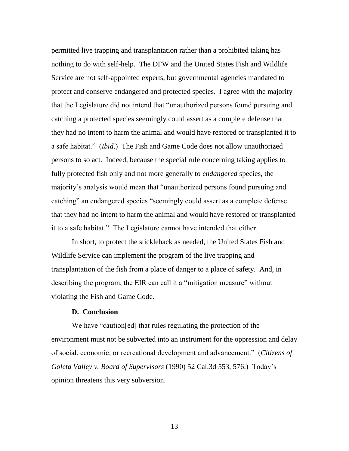permitted live trapping and transplantation rather than a prohibited taking has nothing to do with self-help. The DFW and the United States Fish and Wildlife Service are not self-appointed experts, but governmental agencies mandated to protect and conserve endangered and protected species. I agree with the majority that the Legislature did not intend that "unauthorized persons found pursuing and catching a protected species seemingly could assert as a complete defense that they had no intent to harm the animal and would have restored or transplanted it to a safe habitat.‖ (*Ibid*.) The Fish and Game Code does not allow unauthorized persons to so act. Indeed, because the special rule concerning taking applies to fully protected fish only and not more generally to *endangered* species, the majority's analysis would mean that "unauthorized persons found pursuing and catching" an endangered species "seemingly could assert as a complete defense that they had no intent to harm the animal and would have restored or transplanted it to a safe habitat." The Legislature cannot have intended that either.

In short, to protect the stickleback as needed, the United States Fish and Wildlife Service can implement the program of the live trapping and transplantation of the fish from a place of danger to a place of safety. And, in describing the program, the EIR can call it a "mitigation measure" without violating the Fish and Game Code.

# **D. Conclusion**

We have "caution[ed] that rules regulating the protection of the environment must not be subverted into an instrument for the oppression and delay of social, economic, or recreational development and advancement.‖ (*Citizens of Goleta Valley v. Board of Supervisors* (1990) 52 Cal.3d 553, 576.) Today's opinion threatens this very subversion.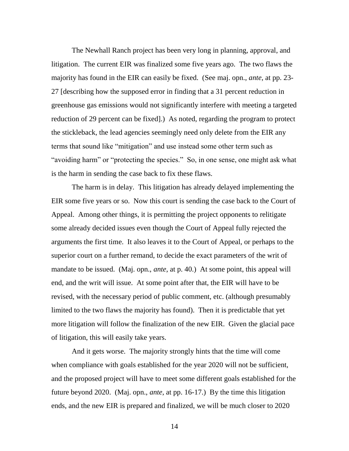The Newhall Ranch project has been very long in planning, approval, and litigation. The current EIR was finalized some five years ago. The two flaws the majority has found in the EIR can easily be fixed. (See maj. opn., *ante*, at pp. 23- 27 [describing how the supposed error in finding that a 31 percent reduction in greenhouse gas emissions would not significantly interfere with meeting a targeted reduction of 29 percent can be fixed].) As noted, regarding the program to protect the stickleback, the lead agencies seemingly need only delete from the EIR any terms that sound like "mitigation" and use instead some other term such as "avoiding harm" or "protecting the species." So, in one sense, one might ask what is the harm in sending the case back to fix these flaws.

The harm is in delay. This litigation has already delayed implementing the EIR some five years or so. Now this court is sending the case back to the Court of Appeal. Among other things, it is permitting the project opponents to relitigate some already decided issues even though the Court of Appeal fully rejected the arguments the first time. It also leaves it to the Court of Appeal, or perhaps to the superior court on a further remand, to decide the exact parameters of the writ of mandate to be issued. (Maj. opn., *ante*, at p. 40.) At some point, this appeal will end, and the writ will issue. At some point after that, the EIR will have to be revised, with the necessary period of public comment, etc. (although presumably limited to the two flaws the majority has found). Then it is predictable that yet more litigation will follow the finalization of the new EIR. Given the glacial pace of litigation, this will easily take years.

And it gets worse. The majority strongly hints that the time will come when compliance with goals established for the year 2020 will not be sufficient, and the proposed project will have to meet some different goals established for the future beyond 2020. (Maj. opn., *ante*, at pp. 16-17.) By the time this litigation ends, and the new EIR is prepared and finalized, we will be much closer to 2020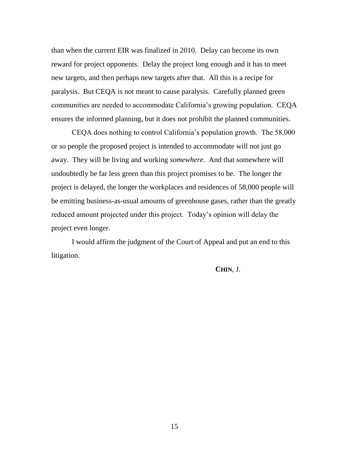than when the current EIR was finalized in 2010. Delay can become its own reward for project opponents. Delay the project long enough and it has to meet new targets, and then perhaps new targets after that. All this is a recipe for paralysis. But CEQA is not meant to cause paralysis. Carefully planned green communities are needed to accommodate California's growing population. CEQA ensures the informed planning, but it does not prohibit the planned communities.

CEQA does nothing to control California's population growth. The 58,000 or so people the proposed project is intended to accommodate will not just go away. They will be living and working *somewhere*. And that somewhere will undoubtedly be far less green than this project promises to be. The longer the project is delayed, the longer the workplaces and residences of 58,000 people will be emitting business-as-usual amounts of greenhouse gases, rather than the greatly reduced amount projected under this project. Today's opinion will delay the project even longer.

I would affirm the judgment of the Court of Appeal and put an end to this litigation.

**CHIN**, J.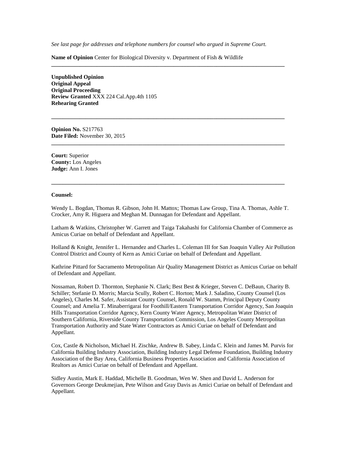*See last page for addresses and telephone numbers for counsel who argued in Supreme Court.*

**\_\_\_\_\_\_\_\_\_\_\_\_\_\_\_\_\_\_\_\_\_\_\_\_\_\_\_\_\_\_\_\_\_\_\_\_\_\_\_\_\_\_\_\_\_\_\_\_\_\_\_\_\_\_\_\_\_\_\_\_\_\_\_\_\_\_\_\_\_\_\_\_\_\_\_\_\_\_\_\_\_\_**

**\_\_\_\_\_\_\_\_\_\_\_\_\_\_\_\_\_\_\_\_\_\_\_\_\_\_\_\_\_\_\_\_\_\_\_\_\_\_\_\_\_\_\_\_\_\_\_\_\_\_\_\_\_\_\_\_\_\_\_\_\_\_\_\_\_\_\_\_\_\_\_\_\_\_\_\_\_\_\_\_\_\_**

**\_\_\_\_\_\_\_\_\_\_\_\_\_\_\_\_\_\_\_\_\_\_\_\_\_\_\_\_\_\_\_\_\_\_\_\_\_\_\_\_\_\_\_\_\_\_\_\_\_\_\_\_\_\_\_\_\_\_\_\_\_\_\_\_\_\_\_\_\_\_\_\_\_\_\_\_\_\_\_\_\_\_**

**Name of Opinion** Center for Biological Diversity v. Department of Fish & Wildlife

**Unpublished Opinion Original Appeal Original Proceeding Review Granted** XXX 224 Cal.App.4th 1105 **Rehearing Granted**

**Opinion No.** S217763 **Date Filed:** November 30, 2015

**Court:** Superior **County:** Los Angeles **Judge:** Ann I. Jones

#### **Counsel:**

Wendy L. Bogdan, Thomas R. Gibson, John H. Mattox; Thomas Law Group, Tina A. Thomas, Ashle T. Crocker, Amy R. Higuera and Meghan M. Dunnagan for Defendant and Appellant.

**\_\_\_\_\_\_\_\_\_\_\_\_\_\_\_\_\_\_\_\_\_\_\_\_\_\_\_\_\_\_\_\_\_\_\_\_\_\_\_\_\_\_\_\_\_\_\_\_\_\_\_\_\_\_\_\_\_\_\_\_\_\_\_\_\_\_\_\_\_\_\_\_\_\_\_\_\_\_\_\_\_\_**

Latham & Watkins, Christopher W. Garrett and Taiga Takahashi for California Chamber of Commerce as Amicus Curiae on behalf of Defendant and Appellant.

Holland & Knight, Jennifer L. Hernandez and Charles L. Coleman III for San Joaquin Valley Air Pollution Control District and County of Kern as Amici Curiae on behalf of Defendant and Appellant.

Kathrine Pittard for Sacramento Metropolitan Air Quality Management District as Amicus Curiae on behalf of Defendant and Appellant.

Nossaman, Robert D. Thornton, Stephanie N. Clark; Best Best & Krieger, Steven C. DeBaun, Charity B. Schiller; Stefanie D. Morris; Marcia Scully, Robert C. Horton; Mark J. Saladino, County Counsel (Los Angeles), Charles M. Safer, Assistant County Counsel, Ronald W. Stamm, Principal Deputy County Counsel; and Amelia T. Minaberrigarai for Foothill/Eastern Transportation Corridor Agency, San Joaquin Hills Transportation Corridor Agency, Kern County Water Agency, Metropolitan Water District of Southern California, Riverside County Transportation Commission, Los Angeles County Metropolitan Transportation Authority and State Water Contractors as Amici Curiae on behalf of Defendant and Appellant.

Cox, Castle & Nicholson, Michael H. Zischke, Andrew B. Sabey, Linda C. Klein and James M. Purvis for California Building Industry Association, Building Industry Legal Defense Foundation, Building Industry Association of the Bay Area, California Business Properties Association and California Association of Realtors as Amici Curiae on behalf of Defendant and Appellant.

Sidley Austin, Mark E. Haddad, Michelle B. Goodman, Wen W. Shen and David L. Anderson for Governors George Deukmejian, Pete Wilson and Gray Davis as Amici Curiae on behalf of Defendant and Appellant.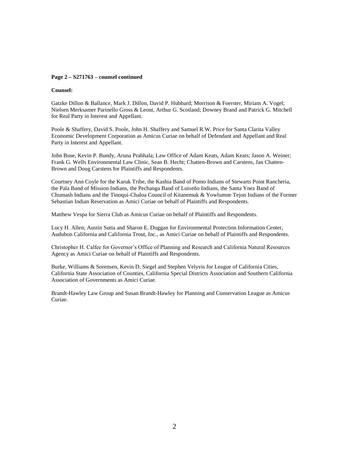#### **Page 2 – S271763 – counsel continued**

#### **Counsel:**

Gatzke Dillon & Ballance, Mark J. Dillon, David P. Hubbard; Morrison & Foerster, Miriam A. Vogel; Nielsen Merksamer Parinello Gross & Leoni, Arthur G. Scotland; Downey Brand and Patrick G. Mitchell for Real Party in Interest and Appellant.

Poole & Shaffery, David S. Poole, John H. Shaffery and Samuel R.W. Price for Santa Clarita Valley Economic Development Corporation as Amicus Curiae on behalf of Defendant and Appellant and Real Party in Interest and Appellant.

John Buse, Kevin P. Bundy, Aruna Prabhala; Law Office of Adam Keats, Adam Keats; Jason A. Weiner; Frank G. Wells Environmental Law Clinic, Sean B. Hecht; Chatten-Brown and Carstens, Jan Chatten-Brown and Doug Carstens for Plaintiffs and Respondents.

Courtney Ann Coyle for the Karuk Tribe, the Kashia Band of Pomo Indians of Stewarts Point Rancheria, the Pala Band of Mission Indians, the Pechanga Band of Luiseño Indians, the Santa Ynez Band of Chumash Indians and the Tinoqui-Chaloa Council of Kitanemuk & Yowlumne Tejon Indians of the Former Sebastian Indian Reservation as Amici Curiae on behalf of Plaintiffs and Respondents.

Matthew Vespa for Sierra Club as Amicus Curiae on behalf of Plaintiffs and Respondents.

Lucy H. Allen; Austin Sutta and Sharon E. Duggan for Environmental Protection Information Center, Audubon California and California Trout, Inc., as Amici Curiae on behalf of Plaintiffs and Respondents.

Christopher H. Calfee for Governor's Office of Planning and Research and California Natural Resources Agency as Amici Curiae on behalf of Plaintiffs and Respondents.

Burke, Williams & Sorensen, Kevin D. Siegel and Stephen Velyvis for League of California Cities, California State Association of Counties, California Special Districts Association and Southern California Association of Governments as Amici Curiae.

Brandt-Hawley Law Group and Susan Brandt-Hawley for Planning and Conservation League as Amicus Curiae.